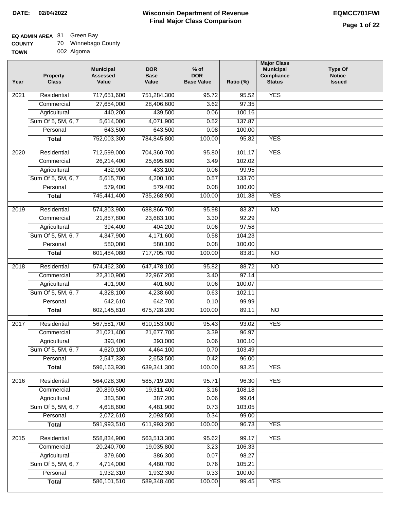### **EQ ADMIN AREA** 81 Green Bay

**TOWN** 002 Algoma

| Year | <b>Property</b><br><b>Class</b> | <b>Municipal</b><br><b>Assessed</b><br>Value | <b>DOR</b><br><b>Base</b><br>Value | $%$ of<br><b>DOR</b><br><b>Base Value</b> | Ratio (%) | <b>Major Class</b><br><b>Municipal</b><br>Compliance<br><b>Status</b> | <b>Type Of</b><br><b>Notice</b><br><b>Issued</b> |
|------|---------------------------------|----------------------------------------------|------------------------------------|-------------------------------------------|-----------|-----------------------------------------------------------------------|--------------------------------------------------|
| 2021 | Residential                     | 717,651,600                                  | 751,284,300                        | 95.72                                     | 95.52     | <b>YES</b>                                                            |                                                  |
|      | Commercial                      | 27,654,000                                   | 28,406,600                         | 3.62                                      | 97.35     |                                                                       |                                                  |
|      | Agricultural                    | 440,200                                      | 439,500                            | 0.06                                      | 100.16    |                                                                       |                                                  |
|      | Sum Of 5, 5M, 6, 7              | 5,614,000                                    | 4,071,900                          | 0.52                                      | 137.87    |                                                                       |                                                  |
|      | Personal                        | 643,500                                      | 643,500                            | 0.08                                      | 100.00    |                                                                       |                                                  |
|      | <b>Total</b>                    | 752,003,300                                  | 784,845,800                        | 100.00                                    | 95.82     | <b>YES</b>                                                            |                                                  |
| 2020 | Residential                     | 712,599,000                                  | 704,360,700                        | 95.80                                     | 101.17    | <b>YES</b>                                                            |                                                  |
|      | Commercial                      | 26,214,400                                   | 25,695,600                         | 3.49                                      | 102.02    |                                                                       |                                                  |
|      | Agricultural                    | 432,900                                      | 433,100                            | 0.06                                      | 99.95     |                                                                       |                                                  |
|      | Sum Of 5, 5M, 6, 7              | 5,615,700                                    | 4,200,100                          | 0.57                                      | 133.70    |                                                                       |                                                  |
|      | Personal                        | 579,400                                      | 579,400                            | 0.08                                      | 100.00    |                                                                       |                                                  |
|      | <b>Total</b>                    | 745,441,400                                  | 735,268,900                        | 100.00                                    | 101.38    | <b>YES</b>                                                            |                                                  |
| 2019 | Residential                     | 574,303,900                                  | 688,866,700                        | 95.98                                     | 83.37     | <b>NO</b>                                                             |                                                  |
|      | Commercial                      | 21,857,800                                   | 23,683,100                         | 3.30                                      | 92.29     |                                                                       |                                                  |
|      | Agricultural                    | 394,400                                      | 404,200                            | 0.06                                      | 97.58     |                                                                       |                                                  |
|      | Sum Of 5, 5M, 6, 7              | 4,347,900                                    | 4,171,600                          | 0.58                                      | 104.23    |                                                                       |                                                  |
|      | Personal                        | 580,080                                      | 580,100                            | 0.08                                      | 100.00    |                                                                       |                                                  |
|      | <b>Total</b>                    | 601,484,080                                  | 717,705,700                        | 100.00                                    | 83.81     | <b>NO</b>                                                             |                                                  |
| 2018 | Residential                     | 574,462,300                                  | 647,478,100                        | 95.82                                     | 88.72     | $\overline{10}$                                                       |                                                  |
|      | Commercial                      | 22,310,900                                   | 22,967,200                         | 3.40                                      | 97.14     |                                                                       |                                                  |
|      | Agricultural                    | 401,900                                      | 401,600                            | 0.06                                      | 100.07    |                                                                       |                                                  |
|      | Sum Of 5, 5M, 6, 7              | 4,328,100                                    | 4,238,600                          | 0.63                                      | 102.11    |                                                                       |                                                  |
|      | Personal                        | 642,610                                      | 642,700                            | 0.10                                      | 99.99     |                                                                       |                                                  |
|      | <b>Total</b>                    | 602,145,810                                  | 675,728,200                        | 100.00                                    | 89.11     | $\overline{10}$                                                       |                                                  |
| 2017 | Residential                     | 567,581,700                                  | 610,153,000                        | 95.43                                     | 93.02     | <b>YES</b>                                                            |                                                  |
|      | Commercial                      | 21,021,400                                   | 21,677,700                         | 3.39                                      | 96.97     |                                                                       |                                                  |
|      | Agricultural                    | 393,400                                      | 393,000                            | 0.06                                      | 100.10    |                                                                       |                                                  |
|      | Sum Of 5, 5M, 6, 7              | 4,620,100                                    | 4,464,100                          | 0.70                                      | 103.49    |                                                                       |                                                  |
|      | Personal                        | 2,547,330                                    | 2,653,500                          | 0.42                                      | 96.00     |                                                                       |                                                  |
|      | <b>Total</b>                    | 596,163,930                                  | 639,341,300                        | 100.00                                    | 93.25     | <b>YES</b>                                                            |                                                  |
|      |                                 |                                              |                                    |                                           |           |                                                                       |                                                  |
| 2016 | Residential                     | 564,028,300                                  | 585,719,200                        | 95.71                                     | 96.30     | <b>YES</b>                                                            |                                                  |
|      | Commercial                      | 20,890,500                                   | 19,311,400                         | 3.16                                      | 108.18    |                                                                       |                                                  |
|      | Agricultural                    | 383,500                                      | 387,200                            | 0.06                                      | 99.04     |                                                                       |                                                  |
|      | Sum Of 5, 5M, 6, 7              | 4,618,600                                    | 4,481,900                          | 0.73                                      | 103.05    |                                                                       |                                                  |
|      | Personal                        | 2,072,610                                    | 2,093,500                          | 0.34                                      | 99.00     |                                                                       |                                                  |
|      | <b>Total</b>                    | 591,993,510                                  | 611,993,200                        | 100.00                                    | 96.73     | <b>YES</b>                                                            |                                                  |
| 2015 | Residential                     | 558,834,900                                  | 563,513,300                        | 95.62                                     | 99.17     | <b>YES</b>                                                            |                                                  |
|      | Commercial                      | 20,240,700                                   | 19,035,800                         | 3.23                                      | 106.33    |                                                                       |                                                  |
|      | Agricultural                    | 379,600                                      | 386,300                            | 0.07                                      | 98.27     |                                                                       |                                                  |
|      | Sum Of 5, 5M, 6, 7              | 4,714,000                                    | 4,480,700                          | 0.76                                      | 105.21    |                                                                       |                                                  |
|      | Personal                        | 1,932,310                                    | 1,932,300                          | 0.33                                      | 100.00    |                                                                       |                                                  |
|      | <b>Total</b>                    | 586,101,510                                  | 589,348,400                        | 100.00                                    | 99.45     | <b>YES</b>                                                            |                                                  |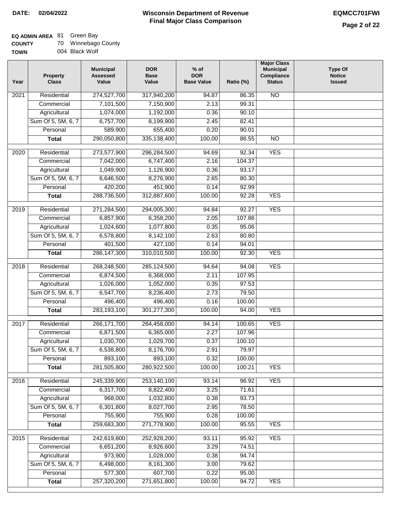# **EQ ADMIN AREA** 81 Green Bay

| <b>COUNTY</b> | 70 | Winnebago County |
|---------------|----|------------------|
| <b>TOWN</b>   |    | 004 Black Wolf   |

| Year             | <b>Property</b><br><b>Class</b> | <b>Municipal</b><br><b>Assessed</b><br>Value | <b>DOR</b><br><b>Base</b><br>Value | $%$ of<br><b>DOR</b><br><b>Base Value</b> | Ratio (%)       | <b>Major Class</b><br><b>Municipal</b><br>Compliance<br><b>Status</b> | <b>Type Of</b><br><b>Notice</b><br><b>Issued</b> |
|------------------|---------------------------------|----------------------------------------------|------------------------------------|-------------------------------------------|-----------------|-----------------------------------------------------------------------|--------------------------------------------------|
| 2021             | Residential                     | 274,527,700                                  | 317,940,200                        | 94.87                                     | 86.35           | $\overline{NO}$                                                       |                                                  |
|                  | Commercial                      | 7,101,500                                    | 7,150,900                          | 2.13                                      | 99.31           |                                                                       |                                                  |
|                  | Agricultural                    | 1,074,000                                    | 1,192,000                          | 0.36                                      | 90.10           |                                                                       |                                                  |
|                  | Sum Of 5, 5M, 6, 7              | 6,757,700                                    | 8,199,900                          | 2.45                                      | 82.41           |                                                                       |                                                  |
|                  | Personal                        | 589,900                                      | 655,400                            | 0.20                                      | 90.01           |                                                                       |                                                  |
|                  | <b>Total</b>                    | 290,050,800                                  | 335, 138, 400                      | 100.00                                    | 86.55           | <b>NO</b>                                                             |                                                  |
| 2020             | Residential                     | 273,577,900                                  | 296,284,500                        | 94.69                                     | 92.34           | <b>YES</b>                                                            |                                                  |
|                  | Commercial                      | 7,042,000                                    | 6,747,400                          | 2.16                                      | 104.37          |                                                                       |                                                  |
|                  | Agricultural                    | 1,049,900                                    | 1,126,900                          | 0.36                                      | 93.17           |                                                                       |                                                  |
|                  | Sum Of 5, 5M, 6, 7              | 6,646,500                                    | 8,276,900                          | 2.65                                      | 80.30           |                                                                       |                                                  |
|                  | Personal                        | 420,200                                      | 451,900                            | 0.14                                      | 92.99           |                                                                       |                                                  |
|                  | <b>Total</b>                    | 288,736,500                                  | 312,887,600                        | 100.00                                    | 92.28           | <b>YES</b>                                                            |                                                  |
| $\frac{1}{2019}$ | Residential                     | 271,284,500                                  | 294,005,300                        | 94.84                                     | 92.27           | <b>YES</b>                                                            |                                                  |
|                  | Commercial                      | 6,857,900                                    | 6,358,200                          | 2.05                                      | 107.86          |                                                                       |                                                  |
|                  | Agricultural                    | 1,024,600                                    | 1,077,800                          | 0.35                                      | 95.06           |                                                                       |                                                  |
|                  | Sum Of 5, 5M, 6, 7              | 6,578,800                                    | 8,142,100                          | 2.63                                      | 80.80           |                                                                       |                                                  |
|                  | Personal                        | 401,500                                      | 427,100                            | 0.14                                      | 94.01           |                                                                       |                                                  |
|                  | <b>Total</b>                    | 286, 147, 300                                | 310,010,500                        | 100.00                                    | 92.30           | <b>YES</b>                                                            |                                                  |
|                  |                                 |                                              |                                    |                                           |                 |                                                                       |                                                  |
| 2018             | Residential                     | 268,248,500<br>6,874,500                     | 285,124,500<br>6,368,000           | 94.64<br>2.11                             | 94.08<br>107.95 | <b>YES</b>                                                            |                                                  |
|                  | Commercial<br>Agricultural      | 1,026,000                                    | 1,052,000                          | 0.35                                      | 97.53           |                                                                       |                                                  |
|                  | Sum Of 5, 5M, 6, 7              | 6,547,700                                    | 8,236,400                          | 2.73                                      | 79.50           |                                                                       |                                                  |
|                  | Personal                        | 496,400                                      | 496,400                            | 0.16                                      | 100.00          |                                                                       |                                                  |
|                  | <b>Total</b>                    | 283,193,100                                  | 301,277,300                        | 100.00                                    | 94.00           | <b>YES</b>                                                            |                                                  |
|                  |                                 |                                              |                                    |                                           |                 |                                                                       |                                                  |
| 2017             | Residential                     | 266, 171, 700                                | 264,458,000                        | 94.14                                     | 100.65          | <b>YES</b>                                                            |                                                  |
|                  | Commercial                      | 6,871,500                                    | 6,365,000                          | 2.27                                      | 107.96          |                                                                       |                                                  |
|                  | Agricultural                    | 1,030,700                                    | 1,029,700                          | 0.37                                      | 100.10          |                                                                       |                                                  |
|                  | Sum Of 5, 5M, 6, 7              | 6,538,800                                    | 8,176,700                          | 2.91                                      | 79.97           |                                                                       |                                                  |
|                  | Personal                        | 893,100                                      | 893,100                            | 0.32                                      | 100.00          |                                                                       |                                                  |
|                  | <b>Total</b>                    | 281,505,800                                  | 280,922,500                        | 100.00                                    | 100.21          | <b>YES</b>                                                            |                                                  |
| 2016             | Residential                     | 245,339,900                                  | 253,140,100                        | 93.14                                     | 96.92           | <b>YES</b>                                                            |                                                  |
|                  | Commercial                      | 6,317,700                                    | 8,822,400                          | 3.25                                      | 71.61           |                                                                       |                                                  |
|                  | Agricultural                    | 968,000                                      | 1,032,800                          | 0.38                                      | 93.73           |                                                                       |                                                  |
|                  | Sum Of 5, 5M, 6, 7              | 6,301,800                                    | 8,027,700                          | 2.95                                      | 78.50           |                                                                       |                                                  |
|                  | Personal                        | 755,900                                      | 755,900                            | 0.28                                      | 100.00          |                                                                       |                                                  |
|                  | <b>Total</b>                    | 259,683,300                                  | 271,778,900                        | 100.00                                    | 95.55           | <b>YES</b>                                                            |                                                  |
| 2015             | Residential                     | 242,619,800                                  | 252,928,200                        | 93.11                                     | 95.92           | <b>YES</b>                                                            |                                                  |
|                  | Commercial                      | 6,651,200                                    | 8,926,600                          | 3.29                                      | 74.51           |                                                                       |                                                  |
|                  | Agricultural                    | 973,900                                      | 1,028,000                          | 0.38                                      | 94.74           |                                                                       |                                                  |
|                  | Sum Of 5, 5M, 6, 7              | 6,498,000                                    | 8,161,300                          | 3.00                                      | 79.62           |                                                                       |                                                  |
|                  | Personal                        | 577,300                                      | 607,700                            | 0.22                                      | 95.00           |                                                                       |                                                  |
|                  | <b>Total</b>                    | 257,320,200                                  | 271,651,800                        | 100.00                                    | 94.72           | <b>YES</b>                                                            |                                                  |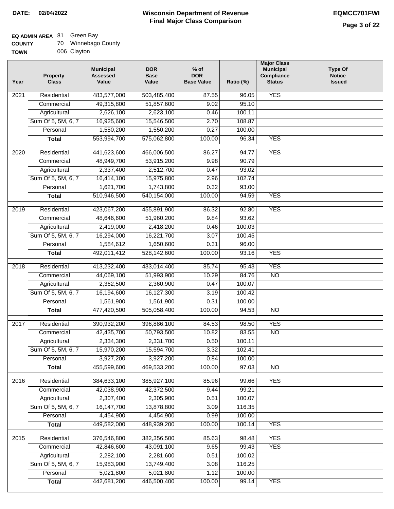# **EQ ADMIN AREA** 81 Green Bay

| <b>COUNTY</b> | Winnebago County |  |
|---------------|------------------|--|
|---------------|------------------|--|

**TOWN** 006 Clayton

| Year              | <b>Property</b><br><b>Class</b> | <b>Municipal</b><br><b>Assessed</b><br>Value | <b>DOR</b><br><b>Base</b><br>Value | $%$ of<br><b>DOR</b><br><b>Base Value</b> | Ratio (%) | <b>Major Class</b><br><b>Municipal</b><br>Compliance<br><b>Status</b> | <b>Type Of</b><br><b>Notice</b><br><b>Issued</b> |
|-------------------|---------------------------------|----------------------------------------------|------------------------------------|-------------------------------------------|-----------|-----------------------------------------------------------------------|--------------------------------------------------|
| $\overline{202}1$ | Residential                     | 483,577,000                                  | 503,485,400                        | 87.55                                     | 96.05     | <b>YES</b>                                                            |                                                  |
|                   | Commercial                      | 49,315,800                                   | 51,857,600                         | 9.02                                      | 95.10     |                                                                       |                                                  |
|                   | Agricultural                    | 2,626,100                                    | 2,623,100                          | 0.46                                      | 100.11    |                                                                       |                                                  |
|                   | Sum Of 5, 5M, 6, 7              | 16,925,600                                   | 15,546,500                         | 2.70                                      | 108.87    |                                                                       |                                                  |
|                   | Personal                        | 1,550,200                                    | 1,550,200                          | 0.27                                      | 100.00    |                                                                       |                                                  |
|                   | <b>Total</b>                    | 553,994,700                                  | 575,062,800                        | 100.00                                    | 96.34     | <b>YES</b>                                                            |                                                  |
| $\overline{2020}$ | Residential                     | 441,623,600                                  | 466,006,500                        | 86.27                                     | 94.77     | <b>YES</b>                                                            |                                                  |
|                   | Commercial                      | 48,949,700                                   | 53,915,200                         | 9.98                                      | 90.79     |                                                                       |                                                  |
|                   | Agricultural                    | 2,337,400                                    | 2,512,700                          | 0.47                                      | 93.02     |                                                                       |                                                  |
|                   | Sum Of 5, 5M, 6, 7              | 16,414,100                                   | 15,975,800                         | 2.96                                      | 102.74    |                                                                       |                                                  |
|                   | Personal                        | 1,621,700                                    | 1,743,800                          | 0.32                                      | 93.00     |                                                                       |                                                  |
|                   | <b>Total</b>                    | 510,946,500                                  | 540,154,000                        | 100.00                                    | 94.59     | <b>YES</b>                                                            |                                                  |
| 2019              | Residential                     |                                              |                                    | 86.32                                     | 92.80     | <b>YES</b>                                                            |                                                  |
|                   | Commercial                      | 423,067,200<br>48,646,600                    | 455,891,900<br>51,960,200          | 9.84                                      | 93.62     |                                                                       |                                                  |
|                   | Agricultural                    | 2,419,000                                    | 2,418,200                          | 0.46                                      | 100.03    |                                                                       |                                                  |
|                   | Sum Of 5, 5M, 6, 7              | 16,294,000                                   | 16,221,700                         | 3.07                                      | 100.45    |                                                                       |                                                  |
|                   | Personal                        | 1,584,612                                    | 1,650,600                          | 0.31                                      | 96.00     |                                                                       |                                                  |
|                   | <b>Total</b>                    | 492,011,412                                  | 528,142,600                        | 100.00                                    | 93.16     | <b>YES</b>                                                            |                                                  |
|                   |                                 |                                              |                                    |                                           |           |                                                                       |                                                  |
| 2018              | Residential                     | 413,232,400                                  | 433,014,400                        | 85.74                                     | 95.43     | <b>YES</b>                                                            |                                                  |
|                   | Commercial                      | 44,069,100                                   | 51,993,900                         | 10.29                                     | 84.76     | <b>NO</b>                                                             |                                                  |
|                   | Agricultural                    | 2,362,500                                    | 2,360,900                          | 0.47                                      | 100.07    |                                                                       |                                                  |
|                   | Sum Of 5, 5M, 6, 7              | 16,194,600                                   | 16,127,300                         | 3.19                                      | 100.42    |                                                                       |                                                  |
|                   | Personal                        | 1,561,900                                    | 1,561,900                          | 0.31                                      | 100.00    |                                                                       |                                                  |
|                   | <b>Total</b>                    | 477,420,500                                  | 505,058,400                        | 100.00                                    | 94.53     | $\overline{10}$                                                       |                                                  |
| 2017              | Residential                     | 390,932,200                                  | 396,886,100                        | 84.53                                     | 98.50     | <b>YES</b>                                                            |                                                  |
|                   | Commercial                      | 42,435,700                                   | 50,793,500                         | 10.82                                     | 83.55     | $\overline{N}$                                                        |                                                  |
|                   | Agricultural                    | 2,334,300                                    | 2,331,700                          | 0.50                                      | 100.11    |                                                                       |                                                  |
|                   | Sum Of 5, 5M, 6, 7              | 15,970,200                                   | 15,594,700                         | 3.32                                      | 102.41    |                                                                       |                                                  |
|                   | Personal                        | 3,927,200                                    | 3,927,200                          | 0.84                                      | 100.00    |                                                                       |                                                  |
|                   | <b>Total</b>                    | 455,599,600                                  | 469,533,200                        | 100.00                                    | 97.03     | <b>NO</b>                                                             |                                                  |
| 2016              | Residential                     | 384,633,100                                  | 385,927,100                        | 85.96                                     | 99.66     | <b>YES</b>                                                            |                                                  |
|                   | Commercial                      | 42,038,900                                   | 42,372,500                         | 9.44                                      | 99.21     |                                                                       |                                                  |
|                   | Agricultural                    | 2,307,400                                    | 2,305,900                          | 0.51                                      | 100.07    |                                                                       |                                                  |
|                   | Sum Of 5, 5M, 6, 7              | 16, 147, 700                                 | 13,878,800                         | 3.09                                      | 116.35    |                                                                       |                                                  |
|                   | Personal                        | 4,454,900                                    | 4,454,900                          | 0.99                                      | 100.00    |                                                                       |                                                  |
|                   | <b>Total</b>                    | 449,582,000                                  | 448,939,200                        | 100.00                                    | 100.14    | <b>YES</b>                                                            |                                                  |
| 2015              | Residential                     | 376,546,800                                  | 382,356,500                        | 85.63                                     | 98.48     | <b>YES</b>                                                            |                                                  |
|                   | Commercial                      | 42,846,600                                   | 43,091,100                         | 9.65                                      | 99.43     | <b>YES</b>                                                            |                                                  |
|                   | Agricultural                    | 2,282,100                                    | 2,281,600                          | 0.51                                      | 100.02    |                                                                       |                                                  |
|                   | Sum Of 5, 5M, 6, 7              | 15,983,900                                   | 13,749,400                         | 3.08                                      | 116.25    |                                                                       |                                                  |
|                   | Personal                        | 5,021,800                                    | 5,021,800                          | 1.12                                      | 100.00    |                                                                       |                                                  |
|                   | <b>Total</b>                    | 442,681,200                                  | 446,500,400                        | 100.00                                    | 99.14     | <b>YES</b>                                                            |                                                  |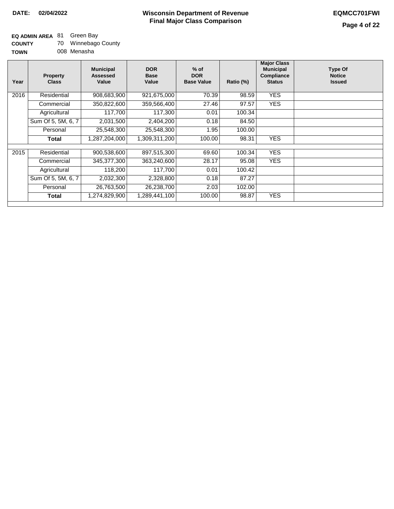## **EQ ADMIN AREA** 81 Green Bay

| <b>COUNTY</b> | 70 | Winnebago County |
|---------------|----|------------------|
| <b>TOWN</b>   |    | 008 Menasha      |

| Year              | <b>Property</b><br><b>Class</b> | <b>Municipal</b><br>Assessed<br>Value | <b>DOR</b><br><b>Base</b><br>Value | $%$ of<br><b>DOR</b><br><b>Base Value</b> | Ratio (%) | <b>Major Class</b><br><b>Municipal</b><br>Compliance<br><b>Status</b> | <b>Type Of</b><br><b>Notice</b><br><b>Issued</b> |
|-------------------|---------------------------------|---------------------------------------|------------------------------------|-------------------------------------------|-----------|-----------------------------------------------------------------------|--------------------------------------------------|
| 2016              | Residential                     | 908,683,900                           | 921,675,000                        | 70.39                                     | 98.59     | <b>YES</b>                                                            |                                                  |
|                   | Commercial                      | 350,822,600                           | 359,566,400                        | 27.46                                     | 97.57     | <b>YES</b>                                                            |                                                  |
|                   | Agricultural                    | 117,700                               | 117,300                            | 0.01                                      | 100.34    |                                                                       |                                                  |
|                   | Sum Of 5, 5M, 6, 7              | 2,031,500                             | 2,404,200                          | 0.18                                      | 84.50     |                                                                       |                                                  |
|                   | Personal                        | 25,548,300                            | 25,548,300                         | 1.95                                      | 100.00    |                                                                       |                                                  |
|                   | Total                           | 1,287,204,000                         | 1,309,311,200                      | 100.00                                    | 98.31     | <b>YES</b>                                                            |                                                  |
|                   |                                 |                                       |                                    |                                           |           |                                                                       |                                                  |
| $\overline{2}015$ | Residential                     | 900,538,600                           | 897,515,300                        | 69.60                                     | 100.34    | <b>YES</b>                                                            |                                                  |
|                   | Commercial                      | 345,377,300                           | 363,240,600                        | 28.17                                     | 95.08     | <b>YES</b>                                                            |                                                  |
|                   | Agricultural                    | 118,200                               | 117,700                            | 0.01                                      | 100.42    |                                                                       |                                                  |
|                   | Sum Of 5, 5M, 6, 7              | 2,032,300                             | 2,328,800                          | 0.18                                      | 87.27     |                                                                       |                                                  |
|                   | Personal                        | 26,763,500                            | 26,238,700                         | 2.03                                      | 102.00    |                                                                       |                                                  |
|                   | Total                           | 1,274,829,900                         | 1,289,441,100                      | 100.00                                    | 98.87     | <b>YES</b>                                                            |                                                  |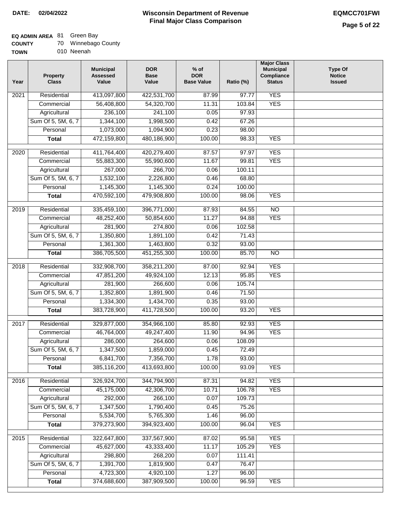### **EQ ADMIN AREA** 81 Green Bay

| <b>COUNTY</b> |  | 70 Winnebago County |
|---------------|--|---------------------|
|---------------|--|---------------------|

**TOWN** 010 Neenah

| Year              | <b>Property</b><br><b>Class</b> | <b>Municipal</b><br><b>Assessed</b><br>Value | <b>DOR</b><br><b>Base</b><br>Value | $%$ of<br><b>DOR</b><br><b>Base Value</b> | Ratio (%) | <b>Major Class</b><br><b>Municipal</b><br>Compliance<br><b>Status</b> | <b>Type Of</b><br><b>Notice</b><br><b>Issued</b> |
|-------------------|---------------------------------|----------------------------------------------|------------------------------------|-------------------------------------------|-----------|-----------------------------------------------------------------------|--------------------------------------------------|
| 2021              | Residential                     | 413,097,800                                  | 422,531,700                        | 87.99                                     | 97.77     | <b>YES</b>                                                            |                                                  |
|                   | Commercial                      | 56,408,800                                   | 54,320,700                         | 11.31                                     | 103.84    | <b>YES</b>                                                            |                                                  |
|                   | Agricultural                    | 236,100                                      | 241,100                            | 0.05                                      | 97.93     |                                                                       |                                                  |
|                   | Sum Of 5, 5M, 6, 7              | 1,344,100                                    | 1,998,500                          | 0.42                                      | 67.26     |                                                                       |                                                  |
|                   | Personal                        | 1,073,000                                    | 1,094,900                          | 0.23                                      | 98.00     |                                                                       |                                                  |
|                   | <b>Total</b>                    | 472,159,800                                  | 480,186,900                        | 100.00                                    | 98.33     | <b>YES</b>                                                            |                                                  |
| $\overline{20}20$ | Residential                     | 411,764,400                                  | 420,279,400                        | 87.57                                     | 97.97     | <b>YES</b>                                                            |                                                  |
|                   | Commercial                      | 55,883,300                                   | 55,990,600                         | 11.67                                     | 99.81     | <b>YES</b>                                                            |                                                  |
|                   | Agricultural                    | 267,000                                      | 266,700                            | 0.06                                      | 100.11    |                                                                       |                                                  |
|                   | Sum Of 5, 5M, 6, 7              | 1,532,100                                    | 2,226,800                          | 0.46                                      | 68.80     |                                                                       |                                                  |
|                   | Personal                        | 1,145,300                                    | 1,145,300                          | 0.24                                      | 100.00    |                                                                       |                                                  |
|                   | <b>Total</b>                    | 470,592,100                                  | 479,908,800                        | 100.00                                    | 98.06     | <b>YES</b>                                                            |                                                  |
| $\frac{1}{2019}$  | Residential                     | 335,459,100                                  | 396,771,000                        | 87.93                                     | 84.55     | $\overline{NO}$                                                       |                                                  |
|                   | Commercial                      | 48,252,400                                   | 50,854,600                         | 11.27                                     | 94.88     | <b>YES</b>                                                            |                                                  |
|                   | Agricultural                    | 281,900                                      | 274,800                            | 0.06                                      | 102.58    |                                                                       |                                                  |
|                   | Sum Of 5, 5M, 6, 7              | 1,350,800                                    | 1,891,100                          | 0.42                                      | 71.43     |                                                                       |                                                  |
|                   | Personal                        | 1,361,300                                    | 1,463,800                          | 0.32                                      | 93.00     |                                                                       |                                                  |
|                   | <b>Total</b>                    | 386,705,500                                  | 451,255,300                        | 100.00                                    | 85.70     | $\overline{NO}$                                                       |                                                  |
| 2018              | Residential                     | 332,908,700                                  | 358,211,200                        | 87.00                                     | 92.94     | <b>YES</b>                                                            |                                                  |
|                   | Commercial                      | 47,851,200                                   | 49,924,100                         | 12.13                                     | 95.85     | <b>YES</b>                                                            |                                                  |
|                   | Agricultural                    | 281,900                                      | 266,600                            | 0.06                                      | 105.74    |                                                                       |                                                  |
|                   | Sum Of 5, 5M, 6, 7              | 1,352,800                                    | 1,891,900                          | 0.46                                      | 71.50     |                                                                       |                                                  |
|                   | Personal                        | 1,334,300                                    | 1,434,700                          | 0.35                                      | 93.00     |                                                                       |                                                  |
|                   | <b>Total</b>                    | 383,728,900                                  | 411,728,500                        | 100.00                                    | 93.20     | <b>YES</b>                                                            |                                                  |
| 2017              | Residential                     | 329,877,000                                  | 354,966,100                        | 85.80                                     | 92.93     | <b>YES</b>                                                            |                                                  |
|                   | Commercial                      | 46,764,000                                   | 49,247,400                         | 11.90                                     | 94.96     | <b>YES</b>                                                            |                                                  |
|                   | Agricultural                    | 286,000                                      | 264,600                            | 0.06                                      | 108.09    |                                                                       |                                                  |
|                   | Sum Of 5, 5M, 6, 7              | 1,347,500                                    | 1,859,000                          | 0.45                                      | 72.49     |                                                                       |                                                  |
|                   | Personal                        | 6,841,700                                    | 7,356,700                          | 1.78                                      | 93.00     |                                                                       |                                                  |
|                   | <b>Total</b>                    | 385,116,200                                  | 413,693,800                        | 100.00                                    | 93.09     | <b>YES</b>                                                            |                                                  |
| 2016              | Residential                     | 326,924,700                                  | 344,794,900                        | 87.31                                     | 94.82     | <b>YES</b>                                                            |                                                  |
|                   | Commercial                      | 45,175,000                                   | 42,306,700                         | 10.71                                     | 106.78    | <b>YES</b>                                                            |                                                  |
|                   | Agricultural                    | 292,000                                      | 266,100                            | 0.07                                      | 109.73    |                                                                       |                                                  |
|                   | Sum Of 5, 5M, 6, 7              | 1,347,500                                    | 1,790,400                          | 0.45                                      | 75.26     |                                                                       |                                                  |
|                   | Personal                        | 5,534,700                                    | 5,765,300                          | 1.46                                      | 96.00     |                                                                       |                                                  |
|                   | <b>Total</b>                    | 379,273,900                                  | 394,923,400                        | 100.00                                    | 96.04     | <b>YES</b>                                                            |                                                  |
| 2015              | Residential                     | 322,647,800                                  | 337,567,900                        | 87.02                                     | 95.58     | <b>YES</b>                                                            |                                                  |
|                   | Commercial                      | 45,627,000                                   | 43,333,400                         | 11.17                                     | 105.29    | <b>YES</b>                                                            |                                                  |
|                   | Agricultural                    | 298,800                                      | 268,200                            | 0.07                                      | 111.41    |                                                                       |                                                  |
|                   | Sum Of 5, 5M, 6, 7              | 1,391,700                                    | 1,819,900                          | 0.47                                      | 76.47     |                                                                       |                                                  |
|                   | Personal                        | 4,723,300                                    | 4,920,100                          | 1.27                                      | 96.00     |                                                                       |                                                  |
|                   | <b>Total</b>                    | 374,688,600                                  | 387,909,500                        | 100.00                                    | 96.59     | <b>YES</b>                                                            |                                                  |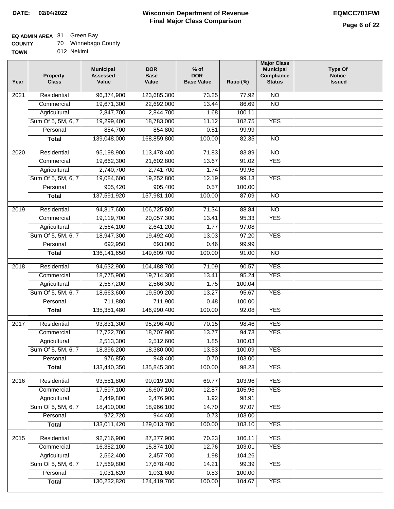### **EQ ADMIN AREA** 81 Green Bay

| <b>COUNTY</b> | 70 Winnebago County |
|---------------|---------------------|
|---------------|---------------------|

**TOWN** 012 Nekimi

| Year              | <b>Property</b><br><b>Class</b> | <b>Municipal</b><br><b>Assessed</b><br>Value | <b>DOR</b><br><b>Base</b><br>Value | $%$ of<br><b>DOR</b><br><b>Base Value</b> | Ratio (%) | <b>Major Class</b><br><b>Municipal</b><br>Compliance<br><b>Status</b> | <b>Type Of</b><br><b>Notice</b><br><b>Issued</b> |
|-------------------|---------------------------------|----------------------------------------------|------------------------------------|-------------------------------------------|-----------|-----------------------------------------------------------------------|--------------------------------------------------|
| 2021              | Residential                     | 96,374,900                                   | 123,685,300                        | 73.25                                     | 77.92     | <b>NO</b>                                                             |                                                  |
|                   | Commercial                      | 19,671,300                                   | 22,692,000                         | 13.44                                     | 86.69     | $\overline{NO}$                                                       |                                                  |
|                   | Agricultural                    | 2,847,700                                    | 2,844,700                          | 1.68                                      | 100.11    |                                                                       |                                                  |
|                   | Sum Of 5, 5M, 6, 7              | 19,299,400                                   | 18,783,000                         | 11.12                                     | 102.75    | <b>YES</b>                                                            |                                                  |
|                   | Personal                        | 854,700                                      | 854,800                            | 0.51                                      | 99.99     |                                                                       |                                                  |
|                   | <b>Total</b>                    | 139,048,000                                  | 168,859,800                        | 100.00                                    | 82.35     | $\overline{NO}$                                                       |                                                  |
| $\overline{2020}$ | Residential                     | 95,198,900                                   | 113,478,400                        | 71.83                                     | 83.89     | $\overline{10}$                                                       |                                                  |
|                   | Commercial                      | 19,662,300                                   | 21,602,800                         | 13.67                                     | 91.02     | <b>YES</b>                                                            |                                                  |
|                   | Agricultural                    | 2,740,700                                    | 2,741,700                          | 1.74                                      | 99.96     |                                                                       |                                                  |
|                   | Sum Of 5, 5M, 6, 7              | 19,084,600                                   | 19,252,800                         | 12.19                                     | 99.13     | <b>YES</b>                                                            |                                                  |
|                   | Personal                        | 905,420                                      | 905,400                            | 0.57                                      | 100.00    |                                                                       |                                                  |
|                   | <b>Total</b>                    | 137,591,920                                  | 157,981,100                        | 100.00                                    | 87.09     | <b>NO</b>                                                             |                                                  |
|                   |                                 |                                              |                                    |                                           |           |                                                                       |                                                  |
| $\frac{1}{2019}$  | Residential                     | 94,817,600                                   | 106,725,800                        | 71.34                                     | 88.84     | $\overline{NO}$                                                       |                                                  |
|                   | Commercial                      | 19,119,700                                   | 20,057,300                         | 13.41                                     | 95.33     | <b>YES</b>                                                            |                                                  |
|                   | Agricultural                    | 2,564,100                                    | 2,641,200                          | 1.77                                      | 97.08     |                                                                       |                                                  |
|                   | Sum Of 5, 5M, 6, 7              | 18,947,300                                   | 19,492,400                         | 13.03                                     | 97.20     | <b>YES</b>                                                            |                                                  |
|                   | Personal                        | 692,950                                      | 693,000                            | 0.46                                      | 99.99     |                                                                       |                                                  |
|                   | <b>Total</b>                    | 136, 141, 650                                | 149,609,700                        | 100.00                                    | 91.00     | $\overline{NO}$                                                       |                                                  |
| 2018              | Residential                     | 94,632,900                                   | 104,488,700                        | 71.09                                     | 90.57     | <b>YES</b>                                                            |                                                  |
|                   | Commercial                      | 18,775,900                                   | 19,714,300                         | 13.41                                     | 95.24     | <b>YES</b>                                                            |                                                  |
|                   | Agricultural                    | 2,567,200                                    | 2,566,300                          | 1.75                                      | 100.04    |                                                                       |                                                  |
|                   | Sum Of 5, 5M, 6, 7              | 18,663,600                                   | 19,509,200                         | 13.27                                     | 95.67     | <b>YES</b>                                                            |                                                  |
|                   | Personal                        | 711,880                                      | 711,900                            | 0.48                                      | 100.00    |                                                                       |                                                  |
|                   | <b>Total</b>                    | 135,351,480                                  | 146,990,400                        | 100.00                                    | 92.08     | <b>YES</b>                                                            |                                                  |
| 2017              | Residential                     | 93,831,300                                   | 95,296,400                         | 70.15                                     | 98.46     | <b>YES</b>                                                            |                                                  |
|                   | Commercial                      | 17,722,700                                   | 18,707,900                         | 13.77                                     | 94.73     | <b>YES</b>                                                            |                                                  |
|                   | Agricultural                    | 2,513,300                                    | 2,512,600                          | 1.85                                      | 100.03    |                                                                       |                                                  |
|                   | Sum Of 5, 5M, 6, 7              | 18,396,200                                   | 18,380,000                         | 13.53                                     | 100.09    | <b>YES</b>                                                            |                                                  |
|                   | Personal                        | 976,850                                      | 948,400                            | 0.70                                      | 103.00    |                                                                       |                                                  |
|                   | <b>Total</b>                    | 133,440,350                                  | 135,845,300                        | 100.00                                    | 98.23     | <b>YES</b>                                                            |                                                  |
| 2016              | Residential                     | 93,581,800                                   | 90,019,200                         | 69.77                                     | 103.96    | <b>YES</b>                                                            |                                                  |
|                   | Commercial                      | 17,597,100                                   | 16,607,100                         | 12.87                                     | 105.96    | <b>YES</b>                                                            |                                                  |
|                   | Agricultural                    | 2,449,800                                    | 2,476,900                          | 1.92                                      | 98.91     |                                                                       |                                                  |
|                   | Sum Of 5, 5M, 6, 7              | 18,410,000                                   | 18,966,100                         | 14.70                                     | 97.07     | <b>YES</b>                                                            |                                                  |
|                   | Personal                        | 972,720                                      | 944,400                            | 0.73                                      | 103.00    |                                                                       |                                                  |
|                   | <b>Total</b>                    | 133,011,420                                  | 129,013,700                        | 100.00                                    | 103.10    | <b>YES</b>                                                            |                                                  |
| 2015              | Residential                     | 92,716,900                                   | 87,377,900                         | 70.23                                     | 106.11    | <b>YES</b>                                                            |                                                  |
|                   | Commercial                      | 16,352,100                                   | 15,874,100                         | 12.76                                     | 103.01    | <b>YES</b>                                                            |                                                  |
|                   | Agricultural                    | 2,562,400                                    | 2,457,700                          | 1.98                                      | 104.26    |                                                                       |                                                  |
|                   | Sum Of 5, 5M, 6, 7              | 17,569,800                                   | 17,678,400                         | 14.21                                     | 99.39     | <b>YES</b>                                                            |                                                  |
|                   | Personal                        | 1,031,620                                    | 1,031,600                          | 0.83                                      | 100.00    |                                                                       |                                                  |
|                   | <b>Total</b>                    | 130,232,820                                  | 124,419,700                        | 100.00                                    | 104.67    | <b>YES</b>                                                            |                                                  |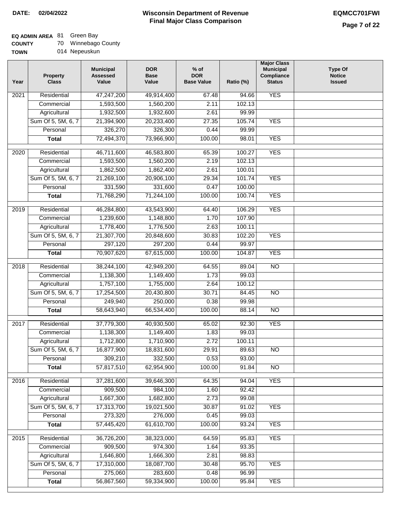٦

## **EQ ADMIN AREA** 81 Green Bay

| <b>COUNTY</b> |  | Winnebago County |
|---------------|--|------------------|
|---------------|--|------------------|

| <b>TOWN</b> | 014 Nepeuskun |
|-------------|---------------|
|-------------|---------------|

| Year | <b>Property</b><br><b>Class</b> | <b>Municipal</b><br><b>Assessed</b><br>Value | <b>DOR</b><br><b>Base</b><br>Value | $%$ of<br><b>DOR</b><br><b>Base Value</b> | Ratio (%) | <b>Major Class</b><br><b>Municipal</b><br>Compliance<br><b>Status</b> | <b>Type Of</b><br><b>Notice</b><br><b>Issued</b> |
|------|---------------------------------|----------------------------------------------|------------------------------------|-------------------------------------------|-----------|-----------------------------------------------------------------------|--------------------------------------------------|
| 2021 | Residential                     | 47,247,200                                   | 49,914,400                         | 67.48                                     | 94.66     | <b>YES</b>                                                            |                                                  |
|      | Commercial                      | 1,593,500                                    | 1,560,200                          | 2.11                                      | 102.13    |                                                                       |                                                  |
|      | Agricultural                    | 1,932,500                                    | 1,932,600                          | 2.61                                      | 99.99     |                                                                       |                                                  |
|      | Sum Of 5, 5M, 6, 7              | 21,394,900                                   | 20,233,400                         | 27.35                                     | 105.74    | <b>YES</b>                                                            |                                                  |
|      | Personal                        | 326,270                                      | 326,300                            | 0.44                                      | 99.99     |                                                                       |                                                  |
|      | <b>Total</b>                    | 72,494,370                                   | 73,966,900                         | 100.00                                    | 98.01     | <b>YES</b>                                                            |                                                  |
| 2020 | Residential                     | 46,711,600                                   | 46,583,800                         | 65.39                                     | 100.27    | <b>YES</b>                                                            |                                                  |
|      | Commercial                      | 1,593,500                                    | 1,560,200                          | 2.19                                      | 102.13    |                                                                       |                                                  |
|      | Agricultural                    | 1,862,500                                    | 1,862,400                          | 2.61                                      | 100.01    |                                                                       |                                                  |
|      | Sum Of 5, 5M, 6, 7              | 21,269,100                                   | 20,906,100                         | 29.34                                     | 101.74    | <b>YES</b>                                                            |                                                  |
|      | Personal                        | 331,590                                      | 331,600                            | 0.47                                      | 100.00    |                                                                       |                                                  |
|      | <b>Total</b>                    | 71,768,290                                   | 71,244,100                         | 100.00                                    | 100.74    | <b>YES</b>                                                            |                                                  |
| 2019 | Residential                     | 46,284,800                                   | 43,543,900                         | 64.40                                     | 106.29    | <b>YES</b>                                                            |                                                  |
|      | Commercial                      | 1,239,600                                    | 1,148,800                          | 1.70                                      | 107.90    |                                                                       |                                                  |
|      | Agricultural                    | 1,778,400                                    | 1,776,500                          | 2.63                                      | 100.11    |                                                                       |                                                  |
|      | Sum Of 5, 5M, 6, 7              | 21,307,700                                   | 20,848,600                         | 30.83                                     | 102.20    | <b>YES</b>                                                            |                                                  |
|      | Personal                        | 297,120                                      | 297,200                            | 0.44                                      | 99.97     |                                                                       |                                                  |
|      | <b>Total</b>                    | 70,907,620                                   | 67,615,000                         | 100.00                                    | 104.87    | <b>YES</b>                                                            |                                                  |
|      |                                 |                                              |                                    |                                           |           |                                                                       |                                                  |
| 2018 | Residential                     | 38,244,100                                   | 42,949,200                         | 64.55                                     | 89.04     | $\overline{NO}$                                                       |                                                  |
|      | Commercial                      | 1,138,300                                    | 1,149,400                          | 1.73                                      | 99.03     |                                                                       |                                                  |
|      | Agricultural                    | 1,757,100                                    | 1,755,000                          | 2.64                                      | 100.12    |                                                                       |                                                  |
|      | Sum Of 5, 5M, 6, 7              | 17,254,500                                   | 20,430,800                         | 30.71                                     | 84.45     | $\overline{NO}$                                                       |                                                  |
|      | Personal                        | 249,940                                      | 250,000                            | 0.38                                      | 99.98     |                                                                       |                                                  |
|      | <b>Total</b>                    | 58,643,940                                   | 66,534,400                         | 100.00                                    | 88.14     | $\overline{NO}$                                                       |                                                  |
| 2017 | Residential                     | 37,779,300                                   | 40,930,500                         | 65.02                                     | 92.30     | <b>YES</b>                                                            |                                                  |
|      | Commercial                      | 1,138,300                                    | 1,149,400                          | 1.83                                      | 99.03     |                                                                       |                                                  |
|      | Agricultural                    | 1,712,800                                    | 1,710,900                          | 2.72                                      | 100.11    |                                                                       |                                                  |
|      | Sum Of 5, 5M, 6, 7              | 16,877,900                                   | 18,831,600                         | 29.91                                     | 89.63     | <b>NO</b>                                                             |                                                  |
|      | Personal                        | 309,210                                      | 332,500                            | 0.53                                      | 93.00     |                                                                       |                                                  |
|      | <b>Total</b>                    | 57,817,510                                   | 62,954,900                         | 100.00                                    | 91.84     | $\overline{NO}$                                                       |                                                  |
| 2016 | Residential                     | 37,281,600                                   | 39,646,300                         | 64.35                                     | 94.04     | <b>YES</b>                                                            |                                                  |
|      | Commercial                      | 909,500                                      | 984,100                            | 1.60                                      | 92.42     |                                                                       |                                                  |
|      | Agricultural                    | 1,667,300                                    | 1,682,800                          | 2.73                                      | 99.08     |                                                                       |                                                  |
|      | Sum Of 5, 5M, 6, 7              | 17,313,700                                   | 19,021,500                         | 30.87                                     | 91.02     | <b>YES</b>                                                            |                                                  |
|      | Personal                        | 273,320                                      | 276,000                            | 0.45                                      | 99.03     |                                                                       |                                                  |
|      | <b>Total</b>                    | 57,445,420                                   | 61,610,700                         | 100.00                                    | 93.24     | <b>YES</b>                                                            |                                                  |
|      |                                 |                                              |                                    |                                           |           |                                                                       |                                                  |
| 2015 | Residential                     | 36,726,200                                   | 38,323,000                         | 64.59                                     | 95.83     | <b>YES</b>                                                            |                                                  |
|      | Commercial                      | 909,500                                      | 974,300                            | 1.64                                      | 93.35     |                                                                       |                                                  |
|      | Agricultural                    | 1,646,800                                    | 1,666,300                          | 2.81                                      | 98.83     |                                                                       |                                                  |
|      | Sum Of 5, 5M, 6, 7              | 17,310,000                                   | 18,087,700                         | 30.48                                     | 95.70     | <b>YES</b>                                                            |                                                  |
|      | Personal                        | 275,060                                      | 283,600                            | 0.48                                      | 96.99     |                                                                       |                                                  |
|      | <b>Total</b>                    | 56,867,560                                   | 59,334,900                         | 100.00                                    | 95.84     | <b>YES</b>                                                            |                                                  |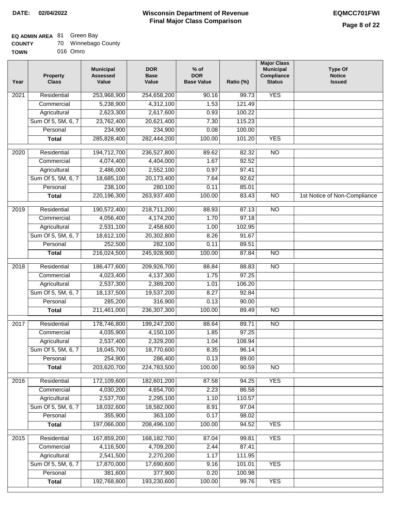# **EQ ADMIN AREA** 81 Green Bay

| <b>COUNTY</b> |  | 70 Winnebago County |  |
|---------------|--|---------------------|--|
|---------------|--|---------------------|--|

**TOWN** 016 Omro

| Year              | <b>Property</b><br><b>Class</b> | <b>Municipal</b><br><b>Assessed</b><br>Value | <b>DOR</b><br><b>Base</b><br>Value | $%$ of<br><b>DOR</b><br><b>Base Value</b> | Ratio (%) | <b>Major Class</b><br><b>Municipal</b><br>Compliance<br><b>Status</b> | <b>Type Of</b><br><b>Notice</b><br><b>Issued</b> |
|-------------------|---------------------------------|----------------------------------------------|------------------------------------|-------------------------------------------|-----------|-----------------------------------------------------------------------|--------------------------------------------------|
| $\overline{202}1$ | Residential                     | 253,968,900                                  | 254,658,200                        | 90.16                                     | 99.73     | <b>YES</b>                                                            |                                                  |
|                   | Commercial                      | 5,238,900                                    | 4,312,100                          | 1.53                                      | 121.49    |                                                                       |                                                  |
|                   | Agricultural                    | 2,623,300                                    | 2,617,600                          | 0.93                                      | 100.22    |                                                                       |                                                  |
|                   | Sum Of 5, 5M, 6, 7              | 23,762,400                                   | 20,621,400                         | 7.30                                      | 115.23    |                                                                       |                                                  |
|                   | Personal                        | 234,900                                      | 234,900                            | 0.08                                      | 100.00    |                                                                       |                                                  |
|                   | <b>Total</b>                    | 285,828,400                                  | 282,444,200                        | 100.00                                    | 101.20    | <b>YES</b>                                                            |                                                  |
| $\overline{2020}$ | Residential                     | 194,712,700                                  | 236,527,800                        | 89.62                                     | 82.32     | $\overline{10}$                                                       |                                                  |
|                   | Commercial                      | 4,074,400                                    | 4,404,000                          | 1.67                                      | 92.52     |                                                                       |                                                  |
|                   | Agricultural                    | 2,486,000                                    | 2,552,100                          | 0.97                                      | 97.41     |                                                                       |                                                  |
|                   | Sum Of 5, 5M, 6, 7              | 18,685,100                                   | 20,173,400                         | 7.64                                      | 92.62     |                                                                       |                                                  |
|                   | Personal                        | 238,100                                      | 280,100                            | 0.11                                      | 85.01     |                                                                       |                                                  |
|                   | <b>Total</b>                    | 220,196,300                                  | 263,937,400                        | 100.00                                    | 83.43     | $\overline{NO}$                                                       | 1st Notice of Non-Compliance                     |
| 2019              | Residential                     | 190,572,400                                  | 218,711,200                        | 88.93                                     | 87.13     | $\overline{NO}$                                                       |                                                  |
|                   | Commercial                      | 4,056,400                                    | 4,174,200                          | 1.70                                      | 97.18     |                                                                       |                                                  |
|                   | Agricultural                    | 2,531,100                                    | 2,458,600                          | 1.00                                      | 102.95    |                                                                       |                                                  |
|                   | Sum Of 5, 5M, 6, 7              | 18,612,100                                   | 20,302,800                         | 8.26                                      | 91.67     |                                                                       |                                                  |
|                   | Personal                        | 252,500                                      | 282,100                            | 0.11                                      | 89.51     |                                                                       |                                                  |
|                   | <b>Total</b>                    | 216,024,500                                  | 245,928,900                        | 100.00                                    | 87.84     | $\overline{NO}$                                                       |                                                  |
| 2018              | Residential                     | 186,477,600                                  | 209,926,700                        | 88.84                                     | 88.83     | N <sub>O</sub>                                                        |                                                  |
|                   | Commercial                      | 4,023,400                                    | 4,137,300                          | 1.75                                      | 97.25     |                                                                       |                                                  |
|                   | Agricultural                    | 2,537,300                                    | 2,389,200                          | 1.01                                      | 106.20    |                                                                       |                                                  |
|                   | Sum Of 5, 5M, 6, 7              | 18,137,500                                   | 19,537,200                         | 8.27                                      | 92.84     |                                                                       |                                                  |
|                   | Personal                        | 285,200                                      | 316,900                            | 0.13                                      | 90.00     |                                                                       |                                                  |
|                   | <b>Total</b>                    | 211,461,000                                  | 236,307,300                        | 100.00                                    | 89.49     | <b>NO</b>                                                             |                                                  |
| 2017              | Residential                     | 178,746,800                                  | 199,247,200                        | 88.64                                     | 89.71     | $\overline{NO}$                                                       |                                                  |
|                   | Commercial                      | 4,035,900                                    | 4,150,100                          | 1.85                                      | 97.25     |                                                                       |                                                  |
|                   | Agricultural                    | 2,537,400                                    | 2,329,200                          | 1.04                                      | 108.94    |                                                                       |                                                  |
|                   | Sum Of 5, 5M, 6, 7              | 18,045,700                                   | 18,770,600                         | 8.35                                      | 96.14     |                                                                       |                                                  |
|                   | Personal                        | 254,900                                      | 286,400                            | 0.13                                      | 89.00     |                                                                       |                                                  |
|                   | <b>Total</b>                    | 203,620,700                                  | 224,783,500                        | 100.00                                    | 90.59     | <b>NO</b>                                                             |                                                  |
| 2016              | Residential                     | 172,109,600                                  | 182,601,200                        | 87.58                                     | 94.25     | <b>YES</b>                                                            |                                                  |
|                   | Commercial                      | 4,030,200                                    | 4,654,700                          | 2.23                                      | 86.58     |                                                                       |                                                  |
|                   | Agricultural                    | 2,537,700                                    | 2,295,100                          | 1.10                                      | 110.57    |                                                                       |                                                  |
|                   | Sum Of 5, 5M, 6, 7              | 18,032,600                                   | 18,582,000                         | 8.91                                      | 97.04     |                                                                       |                                                  |
|                   | Personal                        | 355,900                                      | 363,100                            | 0.17                                      | 98.02     |                                                                       |                                                  |
|                   | <b>Total</b>                    | 197,066,000                                  | 208,496,100                        | 100.00                                    | 94.52     | <b>YES</b>                                                            |                                                  |
| 2015              | Residential                     | 167,859,200                                  | 168, 182, 700                      | 87.04                                     | 99.81     | <b>YES</b>                                                            |                                                  |
|                   | Commercial                      | 4,116,500                                    | 4,709,200                          | 2.44                                      | 87.41     |                                                                       |                                                  |
|                   | Agricultural                    | 2,541,500                                    | 2,270,200                          | 1.17                                      | 111.95    |                                                                       |                                                  |
|                   | Sum Of 5, 5M, 6, 7              | 17,870,000                                   | 17,690,600                         | 9.16                                      | 101.01    | <b>YES</b>                                                            |                                                  |
|                   | Personal                        | 381,600                                      | 377,900                            | 0.20                                      | 100.98    |                                                                       |                                                  |
|                   | <b>Total</b>                    | 192,768,800                                  | 193,230,600                        | 100.00                                    | 99.76     | <b>YES</b>                                                            |                                                  |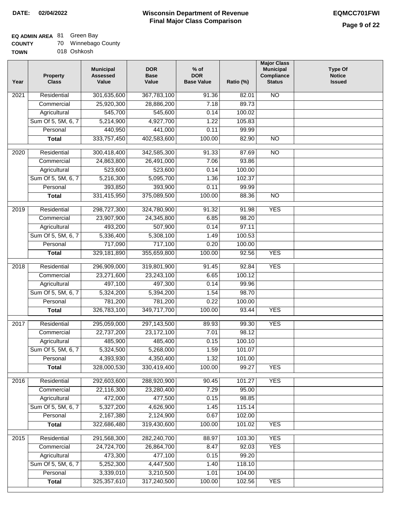## **EQ ADMIN AREA** 81 Green Bay

| <b>COUNTY</b> | 70 Winnebago County |
|---------------|---------------------|
|---------------|---------------------|

**TOWN** 018 Oshkosh

| Year              | <b>Property</b><br><b>Class</b> | <b>Municipal</b><br><b>Assessed</b><br>Value | <b>DOR</b><br><b>Base</b><br>Value | $%$ of<br><b>DOR</b><br><b>Base Value</b> | Ratio (%)      | <b>Major Class</b><br><b>Municipal</b><br>Compliance<br><b>Status</b> | <b>Type Of</b><br><b>Notice</b><br><b>Issued</b> |
|-------------------|---------------------------------|----------------------------------------------|------------------------------------|-------------------------------------------|----------------|-----------------------------------------------------------------------|--------------------------------------------------|
| $\overline{202}1$ | Residential                     | 301,635,600                                  | 367,783,100                        | $\frac{1}{91.36}$                         | 82.01          | N <sub>O</sub>                                                        |                                                  |
|                   | Commercial                      | 25,920,300                                   | 28,886,200                         | 7.18                                      | 89.73          |                                                                       |                                                  |
|                   | Agricultural                    | 545,700                                      | 545,600                            | 0.14                                      | 100.02         |                                                                       |                                                  |
|                   | Sum Of 5, 5M, 6, 7              | 5,214,900                                    | 4,927,700                          | 1.22                                      | 105.83         |                                                                       |                                                  |
|                   | Personal                        | 440,950                                      | 441,000                            | 0.11                                      | 99.99          |                                                                       |                                                  |
|                   | <b>Total</b>                    | 333,757,450                                  | 402,583,600                        | 100.00                                    | 82.90          | $\overline{NO}$                                                       |                                                  |
| $\overline{2020}$ | Residential                     | 300,418,400                                  | 342,585,300                        | 91.33                                     | 87.69          | $\overline{10}$                                                       |                                                  |
|                   | Commercial                      | 24,863,800                                   | 26,491,000                         | 7.06                                      | 93.86          |                                                                       |                                                  |
|                   | Agricultural                    | 523,600                                      | 523,600                            | 0.14                                      | 100.00         |                                                                       |                                                  |
|                   | Sum Of 5, 5M, 6, 7              | 5,216,300                                    | 5,095,700                          | 1.36                                      | 102.37         |                                                                       |                                                  |
|                   | Personal                        | 393,850                                      | 393,900                            | 0.11                                      | 99.99          |                                                                       |                                                  |
|                   | <b>Total</b>                    | 331,415,950                                  | 375,089,500                        | 100.00                                    | 88.36          | $\overline{NO}$                                                       |                                                  |
|                   |                                 |                                              |                                    |                                           |                |                                                                       |                                                  |
| 2019              | Residential                     | 298,727,300                                  | 324,780,900                        | 91.32                                     | 91.98          | <b>YES</b>                                                            |                                                  |
|                   | Commercial                      | 23,907,900                                   | 24,345,800                         | 6.85                                      | 98.20          |                                                                       |                                                  |
|                   | Agricultural                    | 493,200                                      | 507,900                            | 0.14                                      | 97.11          |                                                                       |                                                  |
|                   | Sum Of 5, 5M, 6, 7              | 5,336,400                                    | 5,308,100                          | 1.49                                      | 100.53         |                                                                       |                                                  |
|                   | Personal                        | 717,090                                      | 717,100                            | 0.20                                      | 100.00         |                                                                       |                                                  |
|                   | <b>Total</b>                    | 329,181,890                                  | 355,659,800                        | 100.00                                    | 92.56          | <b>YES</b>                                                            |                                                  |
| 2018              | Residential                     | 296,909,000                                  | 319,801,900                        | 91.45                                     | 92.84          | <b>YES</b>                                                            |                                                  |
|                   | Commercial                      | 23,271,600                                   | 23,243,100                         | 6.65                                      | 100.12         |                                                                       |                                                  |
|                   | Agricultural                    | 497,100                                      | 497,300                            | 0.14                                      | 99.96          |                                                                       |                                                  |
|                   | Sum Of 5, 5M, 6, 7              | 5,324,200                                    | 5,394,200                          | 1.54                                      | 98.70          |                                                                       |                                                  |
|                   | Personal                        | 781,200                                      | 781,200                            | 0.22                                      | 100.00         |                                                                       |                                                  |
|                   | <b>Total</b>                    | 326,783,100                                  | 349,717,700                        | 100.00                                    | 93.44          | <b>YES</b>                                                            |                                                  |
| 2017              | Residential                     | 295,059,000                                  | 297,143,500                        | 89.93                                     | 99.30          | <b>YES</b>                                                            |                                                  |
|                   | Commercial                      | 22,737,200                                   | 23,172,100                         | 7.01                                      | 98.12          |                                                                       |                                                  |
|                   | Agricultural                    | 485,900                                      | 485,400                            | 0.15                                      | 100.10         |                                                                       |                                                  |
|                   | Sum Of 5, 5M, 6, 7              | 5,324,500                                    | 5,268,000                          | 1.59                                      | 101.07         |                                                                       |                                                  |
|                   | Personal                        | 4,393,930                                    | 4,350,400                          | 1.32                                      | 101.00         |                                                                       |                                                  |
|                   | <b>Total</b>                    | 328,000,530                                  | 330,419,400                        | 100.00                                    | 99.27          | <b>YES</b>                                                            |                                                  |
|                   |                                 |                                              |                                    |                                           |                |                                                                       |                                                  |
| 2016              | Residential                     | 292,603,600                                  | 288,920,900                        | 90.45                                     | 101.27         | <b>YES</b>                                                            |                                                  |
|                   | Commercial<br>Agricultural      | 22,116,300<br>472,000                        | 23,280,400<br>477,500              | 7.29<br>0.15                              | 95.00<br>98.85 |                                                                       |                                                  |
|                   | Sum Of 5, 5M, 6, 7              | 5,327,200                                    | 4,626,900                          | 1.45                                      | 115.14         |                                                                       |                                                  |
|                   | Personal                        | 2,167,380                                    | 2,124,900                          | 0.67                                      | 102.00         |                                                                       |                                                  |
|                   | <b>Total</b>                    | 322,686,480                                  | 319,430,600                        | 100.00                                    | 101.02         | <b>YES</b>                                                            |                                                  |
|                   |                                 |                                              |                                    |                                           |                |                                                                       |                                                  |
| 2015              | Residential                     | 291,568,300                                  | 282,240,700                        | 88.97                                     | 103.30         | <b>YES</b>                                                            |                                                  |
|                   | Commercial                      | 24,724,700                                   | 26,864,700                         | 8.47                                      | 92.03          | <b>YES</b>                                                            |                                                  |
|                   | Agricultural                    | 473,300                                      | 477,100                            | 0.15                                      | 99.20          |                                                                       |                                                  |
|                   | Sum Of 5, 5M, 6, 7              | 5,252,300                                    | 4,447,500                          | 1.40                                      | 118.10         |                                                                       |                                                  |
|                   | Personal                        | 3,339,010                                    | 3,210,500                          | 1.01                                      | 104.00         |                                                                       |                                                  |
|                   | <b>Total</b>                    | 325, 357, 610                                | 317,240,500                        | 100.00                                    | 102.56         | <b>YES</b>                                                            |                                                  |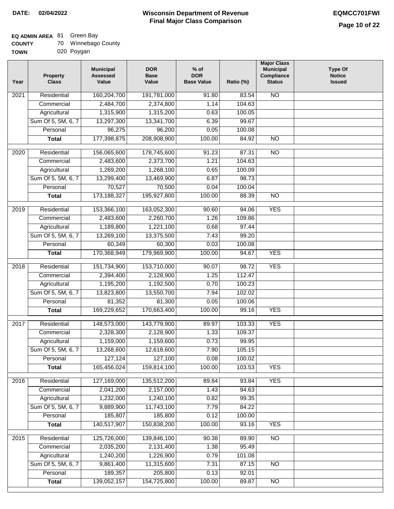## **EQ ADMIN AREA** 81 Green Bay

| <b>COUNTY</b> | 70 Winnebago County |
|---------------|---------------------|
|---------------|---------------------|

**TOWN** 020 Poygan

| Residential<br>160,204,700<br><b>NO</b><br>$\overline{202}1$<br>191,781,000<br>91.80<br>83.54<br>2,484,700<br>2,374,800<br>104.63<br>Commercial<br>1.14<br>1,315,900<br>Agricultural<br>1,315,200<br>0.63<br>100.05<br>Sum Of 5, 5M, 6, 7<br>13,297,300<br>13,341,700<br>6.39<br>99.67<br>96,275<br>Personal<br>96,200<br>0.05<br>100.08<br>177,398,875<br>208,908,900<br>100.00<br><b>Total</b><br>84.92<br><b>NO</b><br>178,745,600<br>$\overline{2020}$<br>Residential<br>156,065,600<br>91.23<br>87.31<br>$\overline{10}$<br>Commercial<br>2,483,600<br>2,373,700<br>1.21<br>104.63<br>1,269,200<br>1,268,100<br>0.65<br>100.09<br>Agricultural<br>Sum Of 5, 5M, 6, 7<br>13,299,400<br>13,469,900<br>6.87<br>98.73<br>70,527<br>70,500<br>Personal<br>0.04<br>100.04<br>173, 188, 327<br>195,927,800<br>100.00<br>$\overline{NO}$<br><b>Total</b><br>88.39<br><b>YES</b><br>Residential<br>153,366,100<br>163,052,300<br>90.60<br>94.06<br>2019<br>2,483,600<br>2,260,700<br>109.86<br>Commercial<br>1.26<br>1,189,800<br>1,221,100<br>0.68<br>97.44<br>Agricultural<br>Sum Of 5, 5M, 6, 7<br>13,269,100<br>13,375,500<br>7.43<br>99.20<br>Personal<br>60,349<br>60,300<br>0.03<br>100.08<br>170,368,949<br>179,969,900<br>100.00<br>94.67<br><b>YES</b><br><b>Total</b><br>Residential<br>151,734,900<br>153,710,000<br>98.72<br><b>YES</b><br>2018<br>90.07<br>112.47<br>Commercial<br>2,394,400<br>2,128,900<br>1.25<br>1,195,200<br>1,192,500<br>100.23<br>Agricultural<br>0.70<br>Sum Of 5, 5M, 6, 7<br>13,823,800<br>13,550,700<br>7.94<br>102.02<br>Personal<br>81,352<br>81,300<br>0.05<br>100.06<br>169,229,652<br>170,663,400<br>100.00<br><b>YES</b><br>99.16<br><b>Total</b><br>2017<br>Residential<br>143,779,900<br><b>YES</b><br>148,573,000<br>89.97<br>103.33<br>Commercial<br>2,328,300<br>2,128,900<br>1.33<br>109.37<br>1,159,000<br>1,159,600<br>0.73<br>99.95<br>Agricultural<br>105.15<br>Sum Of 5, 5M, 6, 7<br>13,268,600<br>12,618,600<br>7.90<br>127,124<br>Personal<br>127,100<br>0.08<br>100.02<br>165,456,024<br>159,814,100<br>100.00<br>103.53<br><b>YES</b><br><b>Total</b><br>127,169,000<br><b>YES</b><br>Residential<br>135,512,200<br>2016<br>89.84<br>93.84<br>2,041,200<br>2,157,000<br>1.43<br>94.63<br>Commercial<br>1,232,000<br>1,240,100<br>0.82<br>99.35<br>Agricultural<br>Sum Of 5, 5M, 6, 7<br>9,889,900<br>7.79<br>11,743,100<br>84.22<br>185,807<br>185,800<br>Personal<br>0.12<br>100.00<br>140,517,907<br>150,838,200<br>100.00<br>93.16<br><b>YES</b><br><b>Total</b><br>Residential<br>125,726,000<br>139,846,100<br>90.38<br>89.90<br>$\overline{NO}$<br>2015<br>2,035,200<br>2,131,400<br>1.38<br>95.49<br>Commercial<br>1,240,200<br>1,226,900<br>0.79<br>Agricultural<br>101.08<br>Sum Of 5, 5M, 6, 7<br>9,861,400<br>11,315,600<br>7.31<br>87.15<br><b>NO</b><br>189,357<br>205,800<br>Personal<br>0.13<br>92.01<br>139,052,157<br>154,725,800<br>100.00<br><b>Total</b><br>89.87<br>NO | Year | <b>Property</b><br><b>Class</b> | <b>Municipal</b><br><b>Assessed</b><br>Value | <b>DOR</b><br><b>Base</b><br>Value | $%$ of<br><b>DOR</b><br><b>Base Value</b> | Ratio (%) | <b>Major Class</b><br><b>Municipal</b><br>Compliance<br><b>Status</b> | <b>Type Of</b><br><b>Notice</b><br><b>Issued</b> |
|-------------------------------------------------------------------------------------------------------------------------------------------------------------------------------------------------------------------------------------------------------------------------------------------------------------------------------------------------------------------------------------------------------------------------------------------------------------------------------------------------------------------------------------------------------------------------------------------------------------------------------------------------------------------------------------------------------------------------------------------------------------------------------------------------------------------------------------------------------------------------------------------------------------------------------------------------------------------------------------------------------------------------------------------------------------------------------------------------------------------------------------------------------------------------------------------------------------------------------------------------------------------------------------------------------------------------------------------------------------------------------------------------------------------------------------------------------------------------------------------------------------------------------------------------------------------------------------------------------------------------------------------------------------------------------------------------------------------------------------------------------------------------------------------------------------------------------------------------------------------------------------------------------------------------------------------------------------------------------------------------------------------------------------------------------------------------------------------------------------------------------------------------------------------------------------------------------------------------------------------------------------------------------------------------------------------------------------------------------------------------------------------------------------------------------------------------------------------------------------------------------------------------------------------------------------------------------------------------------------------------------------------------------------------------------------------------------------------------------------------------------------------------------------------------------------------------------------------------------------------------------------------------------------------------------------------------------|------|---------------------------------|----------------------------------------------|------------------------------------|-------------------------------------------|-----------|-----------------------------------------------------------------------|--------------------------------------------------|
|                                                                                                                                                                                                                                                                                                                                                                                                                                                                                                                                                                                                                                                                                                                                                                                                                                                                                                                                                                                                                                                                                                                                                                                                                                                                                                                                                                                                                                                                                                                                                                                                                                                                                                                                                                                                                                                                                                                                                                                                                                                                                                                                                                                                                                                                                                                                                                                                                                                                                                                                                                                                                                                                                                                                                                                                                                                                                                                                                       |      |                                 |                                              |                                    |                                           |           |                                                                       |                                                  |
|                                                                                                                                                                                                                                                                                                                                                                                                                                                                                                                                                                                                                                                                                                                                                                                                                                                                                                                                                                                                                                                                                                                                                                                                                                                                                                                                                                                                                                                                                                                                                                                                                                                                                                                                                                                                                                                                                                                                                                                                                                                                                                                                                                                                                                                                                                                                                                                                                                                                                                                                                                                                                                                                                                                                                                                                                                                                                                                                                       |      |                                 |                                              |                                    |                                           |           |                                                                       |                                                  |
|                                                                                                                                                                                                                                                                                                                                                                                                                                                                                                                                                                                                                                                                                                                                                                                                                                                                                                                                                                                                                                                                                                                                                                                                                                                                                                                                                                                                                                                                                                                                                                                                                                                                                                                                                                                                                                                                                                                                                                                                                                                                                                                                                                                                                                                                                                                                                                                                                                                                                                                                                                                                                                                                                                                                                                                                                                                                                                                                                       |      |                                 |                                              |                                    |                                           |           |                                                                       |                                                  |
|                                                                                                                                                                                                                                                                                                                                                                                                                                                                                                                                                                                                                                                                                                                                                                                                                                                                                                                                                                                                                                                                                                                                                                                                                                                                                                                                                                                                                                                                                                                                                                                                                                                                                                                                                                                                                                                                                                                                                                                                                                                                                                                                                                                                                                                                                                                                                                                                                                                                                                                                                                                                                                                                                                                                                                                                                                                                                                                                                       |      |                                 |                                              |                                    |                                           |           |                                                                       |                                                  |
|                                                                                                                                                                                                                                                                                                                                                                                                                                                                                                                                                                                                                                                                                                                                                                                                                                                                                                                                                                                                                                                                                                                                                                                                                                                                                                                                                                                                                                                                                                                                                                                                                                                                                                                                                                                                                                                                                                                                                                                                                                                                                                                                                                                                                                                                                                                                                                                                                                                                                                                                                                                                                                                                                                                                                                                                                                                                                                                                                       |      |                                 |                                              |                                    |                                           |           |                                                                       |                                                  |
|                                                                                                                                                                                                                                                                                                                                                                                                                                                                                                                                                                                                                                                                                                                                                                                                                                                                                                                                                                                                                                                                                                                                                                                                                                                                                                                                                                                                                                                                                                                                                                                                                                                                                                                                                                                                                                                                                                                                                                                                                                                                                                                                                                                                                                                                                                                                                                                                                                                                                                                                                                                                                                                                                                                                                                                                                                                                                                                                                       |      |                                 |                                              |                                    |                                           |           |                                                                       |                                                  |
|                                                                                                                                                                                                                                                                                                                                                                                                                                                                                                                                                                                                                                                                                                                                                                                                                                                                                                                                                                                                                                                                                                                                                                                                                                                                                                                                                                                                                                                                                                                                                                                                                                                                                                                                                                                                                                                                                                                                                                                                                                                                                                                                                                                                                                                                                                                                                                                                                                                                                                                                                                                                                                                                                                                                                                                                                                                                                                                                                       |      |                                 |                                              |                                    |                                           |           |                                                                       |                                                  |
|                                                                                                                                                                                                                                                                                                                                                                                                                                                                                                                                                                                                                                                                                                                                                                                                                                                                                                                                                                                                                                                                                                                                                                                                                                                                                                                                                                                                                                                                                                                                                                                                                                                                                                                                                                                                                                                                                                                                                                                                                                                                                                                                                                                                                                                                                                                                                                                                                                                                                                                                                                                                                                                                                                                                                                                                                                                                                                                                                       |      |                                 |                                              |                                    |                                           |           |                                                                       |                                                  |
|                                                                                                                                                                                                                                                                                                                                                                                                                                                                                                                                                                                                                                                                                                                                                                                                                                                                                                                                                                                                                                                                                                                                                                                                                                                                                                                                                                                                                                                                                                                                                                                                                                                                                                                                                                                                                                                                                                                                                                                                                                                                                                                                                                                                                                                                                                                                                                                                                                                                                                                                                                                                                                                                                                                                                                                                                                                                                                                                                       |      |                                 |                                              |                                    |                                           |           |                                                                       |                                                  |
|                                                                                                                                                                                                                                                                                                                                                                                                                                                                                                                                                                                                                                                                                                                                                                                                                                                                                                                                                                                                                                                                                                                                                                                                                                                                                                                                                                                                                                                                                                                                                                                                                                                                                                                                                                                                                                                                                                                                                                                                                                                                                                                                                                                                                                                                                                                                                                                                                                                                                                                                                                                                                                                                                                                                                                                                                                                                                                                                                       |      |                                 |                                              |                                    |                                           |           |                                                                       |                                                  |
|                                                                                                                                                                                                                                                                                                                                                                                                                                                                                                                                                                                                                                                                                                                                                                                                                                                                                                                                                                                                                                                                                                                                                                                                                                                                                                                                                                                                                                                                                                                                                                                                                                                                                                                                                                                                                                                                                                                                                                                                                                                                                                                                                                                                                                                                                                                                                                                                                                                                                                                                                                                                                                                                                                                                                                                                                                                                                                                                                       |      |                                 |                                              |                                    |                                           |           |                                                                       |                                                  |
|                                                                                                                                                                                                                                                                                                                                                                                                                                                                                                                                                                                                                                                                                                                                                                                                                                                                                                                                                                                                                                                                                                                                                                                                                                                                                                                                                                                                                                                                                                                                                                                                                                                                                                                                                                                                                                                                                                                                                                                                                                                                                                                                                                                                                                                                                                                                                                                                                                                                                                                                                                                                                                                                                                                                                                                                                                                                                                                                                       |      |                                 |                                              |                                    |                                           |           |                                                                       |                                                  |
|                                                                                                                                                                                                                                                                                                                                                                                                                                                                                                                                                                                                                                                                                                                                                                                                                                                                                                                                                                                                                                                                                                                                                                                                                                                                                                                                                                                                                                                                                                                                                                                                                                                                                                                                                                                                                                                                                                                                                                                                                                                                                                                                                                                                                                                                                                                                                                                                                                                                                                                                                                                                                                                                                                                                                                                                                                                                                                                                                       |      |                                 |                                              |                                    |                                           |           |                                                                       |                                                  |
|                                                                                                                                                                                                                                                                                                                                                                                                                                                                                                                                                                                                                                                                                                                                                                                                                                                                                                                                                                                                                                                                                                                                                                                                                                                                                                                                                                                                                                                                                                                                                                                                                                                                                                                                                                                                                                                                                                                                                                                                                                                                                                                                                                                                                                                                                                                                                                                                                                                                                                                                                                                                                                                                                                                                                                                                                                                                                                                                                       |      |                                 |                                              |                                    |                                           |           |                                                                       |                                                  |
|                                                                                                                                                                                                                                                                                                                                                                                                                                                                                                                                                                                                                                                                                                                                                                                                                                                                                                                                                                                                                                                                                                                                                                                                                                                                                                                                                                                                                                                                                                                                                                                                                                                                                                                                                                                                                                                                                                                                                                                                                                                                                                                                                                                                                                                                                                                                                                                                                                                                                                                                                                                                                                                                                                                                                                                                                                                                                                                                                       |      |                                 |                                              |                                    |                                           |           |                                                                       |                                                  |
|                                                                                                                                                                                                                                                                                                                                                                                                                                                                                                                                                                                                                                                                                                                                                                                                                                                                                                                                                                                                                                                                                                                                                                                                                                                                                                                                                                                                                                                                                                                                                                                                                                                                                                                                                                                                                                                                                                                                                                                                                                                                                                                                                                                                                                                                                                                                                                                                                                                                                                                                                                                                                                                                                                                                                                                                                                                                                                                                                       |      |                                 |                                              |                                    |                                           |           |                                                                       |                                                  |
|                                                                                                                                                                                                                                                                                                                                                                                                                                                                                                                                                                                                                                                                                                                                                                                                                                                                                                                                                                                                                                                                                                                                                                                                                                                                                                                                                                                                                                                                                                                                                                                                                                                                                                                                                                                                                                                                                                                                                                                                                                                                                                                                                                                                                                                                                                                                                                                                                                                                                                                                                                                                                                                                                                                                                                                                                                                                                                                                                       |      |                                 |                                              |                                    |                                           |           |                                                                       |                                                  |
|                                                                                                                                                                                                                                                                                                                                                                                                                                                                                                                                                                                                                                                                                                                                                                                                                                                                                                                                                                                                                                                                                                                                                                                                                                                                                                                                                                                                                                                                                                                                                                                                                                                                                                                                                                                                                                                                                                                                                                                                                                                                                                                                                                                                                                                                                                                                                                                                                                                                                                                                                                                                                                                                                                                                                                                                                                                                                                                                                       |      |                                 |                                              |                                    |                                           |           |                                                                       |                                                  |
|                                                                                                                                                                                                                                                                                                                                                                                                                                                                                                                                                                                                                                                                                                                                                                                                                                                                                                                                                                                                                                                                                                                                                                                                                                                                                                                                                                                                                                                                                                                                                                                                                                                                                                                                                                                                                                                                                                                                                                                                                                                                                                                                                                                                                                                                                                                                                                                                                                                                                                                                                                                                                                                                                                                                                                                                                                                                                                                                                       |      |                                 |                                              |                                    |                                           |           |                                                                       |                                                  |
|                                                                                                                                                                                                                                                                                                                                                                                                                                                                                                                                                                                                                                                                                                                                                                                                                                                                                                                                                                                                                                                                                                                                                                                                                                                                                                                                                                                                                                                                                                                                                                                                                                                                                                                                                                                                                                                                                                                                                                                                                                                                                                                                                                                                                                                                                                                                                                                                                                                                                                                                                                                                                                                                                                                                                                                                                                                                                                                                                       |      |                                 |                                              |                                    |                                           |           |                                                                       |                                                  |
|                                                                                                                                                                                                                                                                                                                                                                                                                                                                                                                                                                                                                                                                                                                                                                                                                                                                                                                                                                                                                                                                                                                                                                                                                                                                                                                                                                                                                                                                                                                                                                                                                                                                                                                                                                                                                                                                                                                                                                                                                                                                                                                                                                                                                                                                                                                                                                                                                                                                                                                                                                                                                                                                                                                                                                                                                                                                                                                                                       |      |                                 |                                              |                                    |                                           |           |                                                                       |                                                  |
|                                                                                                                                                                                                                                                                                                                                                                                                                                                                                                                                                                                                                                                                                                                                                                                                                                                                                                                                                                                                                                                                                                                                                                                                                                                                                                                                                                                                                                                                                                                                                                                                                                                                                                                                                                                                                                                                                                                                                                                                                                                                                                                                                                                                                                                                                                                                                                                                                                                                                                                                                                                                                                                                                                                                                                                                                                                                                                                                                       |      |                                 |                                              |                                    |                                           |           |                                                                       |                                                  |
|                                                                                                                                                                                                                                                                                                                                                                                                                                                                                                                                                                                                                                                                                                                                                                                                                                                                                                                                                                                                                                                                                                                                                                                                                                                                                                                                                                                                                                                                                                                                                                                                                                                                                                                                                                                                                                                                                                                                                                                                                                                                                                                                                                                                                                                                                                                                                                                                                                                                                                                                                                                                                                                                                                                                                                                                                                                                                                                                                       |      |                                 |                                              |                                    |                                           |           |                                                                       |                                                  |
|                                                                                                                                                                                                                                                                                                                                                                                                                                                                                                                                                                                                                                                                                                                                                                                                                                                                                                                                                                                                                                                                                                                                                                                                                                                                                                                                                                                                                                                                                                                                                                                                                                                                                                                                                                                                                                                                                                                                                                                                                                                                                                                                                                                                                                                                                                                                                                                                                                                                                                                                                                                                                                                                                                                                                                                                                                                                                                                                                       |      |                                 |                                              |                                    |                                           |           |                                                                       |                                                  |
|                                                                                                                                                                                                                                                                                                                                                                                                                                                                                                                                                                                                                                                                                                                                                                                                                                                                                                                                                                                                                                                                                                                                                                                                                                                                                                                                                                                                                                                                                                                                                                                                                                                                                                                                                                                                                                                                                                                                                                                                                                                                                                                                                                                                                                                                                                                                                                                                                                                                                                                                                                                                                                                                                                                                                                                                                                                                                                                                                       |      |                                 |                                              |                                    |                                           |           |                                                                       |                                                  |
|                                                                                                                                                                                                                                                                                                                                                                                                                                                                                                                                                                                                                                                                                                                                                                                                                                                                                                                                                                                                                                                                                                                                                                                                                                                                                                                                                                                                                                                                                                                                                                                                                                                                                                                                                                                                                                                                                                                                                                                                                                                                                                                                                                                                                                                                                                                                                                                                                                                                                                                                                                                                                                                                                                                                                                                                                                                                                                                                                       |      |                                 |                                              |                                    |                                           |           |                                                                       |                                                  |
|                                                                                                                                                                                                                                                                                                                                                                                                                                                                                                                                                                                                                                                                                                                                                                                                                                                                                                                                                                                                                                                                                                                                                                                                                                                                                                                                                                                                                                                                                                                                                                                                                                                                                                                                                                                                                                                                                                                                                                                                                                                                                                                                                                                                                                                                                                                                                                                                                                                                                                                                                                                                                                                                                                                                                                                                                                                                                                                                                       |      |                                 |                                              |                                    |                                           |           |                                                                       |                                                  |
|                                                                                                                                                                                                                                                                                                                                                                                                                                                                                                                                                                                                                                                                                                                                                                                                                                                                                                                                                                                                                                                                                                                                                                                                                                                                                                                                                                                                                                                                                                                                                                                                                                                                                                                                                                                                                                                                                                                                                                                                                                                                                                                                                                                                                                                                                                                                                                                                                                                                                                                                                                                                                                                                                                                                                                                                                                                                                                                                                       |      |                                 |                                              |                                    |                                           |           |                                                                       |                                                  |
|                                                                                                                                                                                                                                                                                                                                                                                                                                                                                                                                                                                                                                                                                                                                                                                                                                                                                                                                                                                                                                                                                                                                                                                                                                                                                                                                                                                                                                                                                                                                                                                                                                                                                                                                                                                                                                                                                                                                                                                                                                                                                                                                                                                                                                                                                                                                                                                                                                                                                                                                                                                                                                                                                                                                                                                                                                                                                                                                                       |      |                                 |                                              |                                    |                                           |           |                                                                       |                                                  |
|                                                                                                                                                                                                                                                                                                                                                                                                                                                                                                                                                                                                                                                                                                                                                                                                                                                                                                                                                                                                                                                                                                                                                                                                                                                                                                                                                                                                                                                                                                                                                                                                                                                                                                                                                                                                                                                                                                                                                                                                                                                                                                                                                                                                                                                                                                                                                                                                                                                                                                                                                                                                                                                                                                                                                                                                                                                                                                                                                       |      |                                 |                                              |                                    |                                           |           |                                                                       |                                                  |
|                                                                                                                                                                                                                                                                                                                                                                                                                                                                                                                                                                                                                                                                                                                                                                                                                                                                                                                                                                                                                                                                                                                                                                                                                                                                                                                                                                                                                                                                                                                                                                                                                                                                                                                                                                                                                                                                                                                                                                                                                                                                                                                                                                                                                                                                                                                                                                                                                                                                                                                                                                                                                                                                                                                                                                                                                                                                                                                                                       |      |                                 |                                              |                                    |                                           |           |                                                                       |                                                  |
|                                                                                                                                                                                                                                                                                                                                                                                                                                                                                                                                                                                                                                                                                                                                                                                                                                                                                                                                                                                                                                                                                                                                                                                                                                                                                                                                                                                                                                                                                                                                                                                                                                                                                                                                                                                                                                                                                                                                                                                                                                                                                                                                                                                                                                                                                                                                                                                                                                                                                                                                                                                                                                                                                                                                                                                                                                                                                                                                                       |      |                                 |                                              |                                    |                                           |           |                                                                       |                                                  |
|                                                                                                                                                                                                                                                                                                                                                                                                                                                                                                                                                                                                                                                                                                                                                                                                                                                                                                                                                                                                                                                                                                                                                                                                                                                                                                                                                                                                                                                                                                                                                                                                                                                                                                                                                                                                                                                                                                                                                                                                                                                                                                                                                                                                                                                                                                                                                                                                                                                                                                                                                                                                                                                                                                                                                                                                                                                                                                                                                       |      |                                 |                                              |                                    |                                           |           |                                                                       |                                                  |
|                                                                                                                                                                                                                                                                                                                                                                                                                                                                                                                                                                                                                                                                                                                                                                                                                                                                                                                                                                                                                                                                                                                                                                                                                                                                                                                                                                                                                                                                                                                                                                                                                                                                                                                                                                                                                                                                                                                                                                                                                                                                                                                                                                                                                                                                                                                                                                                                                                                                                                                                                                                                                                                                                                                                                                                                                                                                                                                                                       |      |                                 |                                              |                                    |                                           |           |                                                                       |                                                  |
|                                                                                                                                                                                                                                                                                                                                                                                                                                                                                                                                                                                                                                                                                                                                                                                                                                                                                                                                                                                                                                                                                                                                                                                                                                                                                                                                                                                                                                                                                                                                                                                                                                                                                                                                                                                                                                                                                                                                                                                                                                                                                                                                                                                                                                                                                                                                                                                                                                                                                                                                                                                                                                                                                                                                                                                                                                                                                                                                                       |      |                                 |                                              |                                    |                                           |           |                                                                       |                                                  |
|                                                                                                                                                                                                                                                                                                                                                                                                                                                                                                                                                                                                                                                                                                                                                                                                                                                                                                                                                                                                                                                                                                                                                                                                                                                                                                                                                                                                                                                                                                                                                                                                                                                                                                                                                                                                                                                                                                                                                                                                                                                                                                                                                                                                                                                                                                                                                                                                                                                                                                                                                                                                                                                                                                                                                                                                                                                                                                                                                       |      |                                 |                                              |                                    |                                           |           |                                                                       |                                                  |
|                                                                                                                                                                                                                                                                                                                                                                                                                                                                                                                                                                                                                                                                                                                                                                                                                                                                                                                                                                                                                                                                                                                                                                                                                                                                                                                                                                                                                                                                                                                                                                                                                                                                                                                                                                                                                                                                                                                                                                                                                                                                                                                                                                                                                                                                                                                                                                                                                                                                                                                                                                                                                                                                                                                                                                                                                                                                                                                                                       |      |                                 |                                              |                                    |                                           |           |                                                                       |                                                  |
|                                                                                                                                                                                                                                                                                                                                                                                                                                                                                                                                                                                                                                                                                                                                                                                                                                                                                                                                                                                                                                                                                                                                                                                                                                                                                                                                                                                                                                                                                                                                                                                                                                                                                                                                                                                                                                                                                                                                                                                                                                                                                                                                                                                                                                                                                                                                                                                                                                                                                                                                                                                                                                                                                                                                                                                                                                                                                                                                                       |      |                                 |                                              |                                    |                                           |           |                                                                       |                                                  |
|                                                                                                                                                                                                                                                                                                                                                                                                                                                                                                                                                                                                                                                                                                                                                                                                                                                                                                                                                                                                                                                                                                                                                                                                                                                                                                                                                                                                                                                                                                                                                                                                                                                                                                                                                                                                                                                                                                                                                                                                                                                                                                                                                                                                                                                                                                                                                                                                                                                                                                                                                                                                                                                                                                                                                                                                                                                                                                                                                       |      |                                 |                                              |                                    |                                           |           |                                                                       |                                                  |
|                                                                                                                                                                                                                                                                                                                                                                                                                                                                                                                                                                                                                                                                                                                                                                                                                                                                                                                                                                                                                                                                                                                                                                                                                                                                                                                                                                                                                                                                                                                                                                                                                                                                                                                                                                                                                                                                                                                                                                                                                                                                                                                                                                                                                                                                                                                                                                                                                                                                                                                                                                                                                                                                                                                                                                                                                                                                                                                                                       |      |                                 |                                              |                                    |                                           |           |                                                                       |                                                  |
|                                                                                                                                                                                                                                                                                                                                                                                                                                                                                                                                                                                                                                                                                                                                                                                                                                                                                                                                                                                                                                                                                                                                                                                                                                                                                                                                                                                                                                                                                                                                                                                                                                                                                                                                                                                                                                                                                                                                                                                                                                                                                                                                                                                                                                                                                                                                                                                                                                                                                                                                                                                                                                                                                                                                                                                                                                                                                                                                                       |      |                                 |                                              |                                    |                                           |           |                                                                       |                                                  |
|                                                                                                                                                                                                                                                                                                                                                                                                                                                                                                                                                                                                                                                                                                                                                                                                                                                                                                                                                                                                                                                                                                                                                                                                                                                                                                                                                                                                                                                                                                                                                                                                                                                                                                                                                                                                                                                                                                                                                                                                                                                                                                                                                                                                                                                                                                                                                                                                                                                                                                                                                                                                                                                                                                                                                                                                                                                                                                                                                       |      |                                 |                                              |                                    |                                           |           |                                                                       |                                                  |
|                                                                                                                                                                                                                                                                                                                                                                                                                                                                                                                                                                                                                                                                                                                                                                                                                                                                                                                                                                                                                                                                                                                                                                                                                                                                                                                                                                                                                                                                                                                                                                                                                                                                                                                                                                                                                                                                                                                                                                                                                                                                                                                                                                                                                                                                                                                                                                                                                                                                                                                                                                                                                                                                                                                                                                                                                                                                                                                                                       |      |                                 |                                              |                                    |                                           |           |                                                                       |                                                  |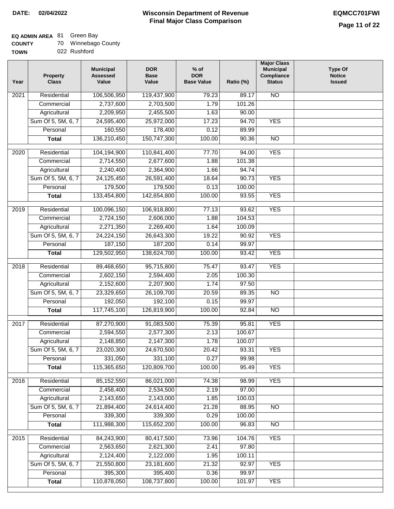# **EQ ADMIN AREA** 81 Green Bay

| <b>COUNTY</b> |  | Winnebago County |  |
|---------------|--|------------------|--|
|---------------|--|------------------|--|

**TOWN** 022 Rushford

|                   |                    | Value        | <b>Base</b><br>Value | <b>DOR</b><br><b>Base Value</b> | Ratio (%) | Compliance<br><b>Status</b> | <b>Notice</b><br><b>Issued</b> |
|-------------------|--------------------|--------------|----------------------|---------------------------------|-----------|-----------------------------|--------------------------------|
| $\overline{202}1$ | Residential        | 106,506,950  | 119,437,900          | 79.23                           | 89.17     | <b>NO</b>                   |                                |
|                   | Commercial         | 2,737,600    | 2,703,500            | 1.79                            | 101.26    |                             |                                |
|                   | Agricultural       | 2,209,950    | 2,455,500            | 1.63                            | 90.00     |                             |                                |
|                   | Sum Of 5, 5M, 6, 7 | 24,595,400   | 25,972,000           | 17.23                           | 94.70     | <b>YES</b>                  |                                |
|                   | Personal           | 160,550      | 178,400              | 0.12                            | 89.99     |                             |                                |
|                   | <b>Total</b>       | 136,210,450  | 150,747,300          | 100.00                          | 90.36     | $\overline{NO}$             |                                |
| $\overline{2020}$ | Residential        | 104,194,900  | 110,841,400          | 77.70                           | 94.00     | <b>YES</b>                  |                                |
|                   | Commercial         | 2,714,550    | 2,677,600            | 1.88                            | 101.38    |                             |                                |
|                   | Agricultural       | 2,240,400    | 2,364,900            | 1.66                            | 94.74     |                             |                                |
|                   | Sum Of 5, 5M, 6, 7 | 24,125,450   | 26,591,400           | 18.64                           | 90.73     | <b>YES</b>                  |                                |
|                   | Personal           | 179,500      | 179,500              | 0.13                            | 100.00    |                             |                                |
|                   | <b>Total</b>       | 133,454,800  | 142,654,800          | 100.00                          | 93.55     | <b>YES</b>                  |                                |
| 2019              | Residential        | 100,096,150  | 106,918,800          | 77.13                           | 93.62     | <b>YES</b>                  |                                |
|                   | Commercial         | 2,724,150    | 2,606,000            | 1.88                            | 104.53    |                             |                                |
|                   | Agricultural       | 2,271,350    | 2,269,400            | 1.64                            | 100.09    |                             |                                |
|                   | Sum Of 5, 5M, 6, 7 | 24,224,150   | 26,643,300           | 19.22                           | 90.92     | <b>YES</b>                  |                                |
|                   | Personal           | 187,150      | 187,200              | 0.14                            | 99.97     |                             |                                |
|                   | <b>Total</b>       | 129,502,950  | 138,624,700          | 100.00                          | 93.42     | <b>YES</b>                  |                                |
|                   |                    |              |                      |                                 |           |                             |                                |
| 2018              | Residential        | 89,468,650   | 95,715,800           | 75.47                           | 93.47     | <b>YES</b>                  |                                |
|                   | Commercial         | 2,602,150    | 2,594,400            | 2.05                            | 100.30    |                             |                                |
|                   | Agricultural       | 2,152,600    | 2,207,900            | 1.74                            | 97.50     |                             |                                |
|                   | Sum Of 5, 5M, 6, 7 | 23,329,650   | 26,109,700           | 20.59                           | 89.35     | $\overline{3}$              |                                |
|                   | Personal           | 192,050      | 192,100              | 0.15                            | 99.97     |                             |                                |
|                   | <b>Total</b>       | 117,745,100  | 126,819,900          | 100.00                          | 92.84     | <b>NO</b>                   |                                |
| 2017              | Residential        | 87,270,900   | 91,083,500           | 75.39                           | 95.81     | <b>YES</b>                  |                                |
|                   | Commercial         | 2,594,550    | 2,577,300            | 2.13                            | 100.67    |                             |                                |
|                   | Agricultural       | 2,148,850    | 2,147,300            | 1.78                            | 100.07    |                             |                                |
|                   | Sum Of 5, 5M, 6, 7 | 23,020,300   | 24,670,500           | 20.42                           | 93.31     | <b>YES</b>                  |                                |
|                   | Personal           | 331,050      | 331,100              | 0.27                            | 99.98     |                             |                                |
|                   | <b>Total</b>       | 115,365,650  | 120,809,700          | 100.00                          | 95.49     | <b>YES</b>                  |                                |
| 2016              | Residential        | 85, 152, 550 | 86,021,000           | 74.38                           | 98.99     | <b>YES</b>                  |                                |
|                   | Commercial         | 2,458,400    | 2,534,500            | 2.19                            | 97.00     |                             |                                |
|                   | Agricultural       | 2,143,650    | 2,143,000            | 1.85                            | 100.03    |                             |                                |
|                   | Sum Of 5, 5M, 6, 7 | 21,894,400   | 24,614,400           | 21.28                           | 88.95     | $\overline{NO}$             |                                |
|                   | Personal           | 339,300      | 339,300              | 0.29                            | 100.00    |                             |                                |
|                   | <b>Total</b>       | 111,988,300  | 115,652,200          | 100.00                          | 96.83     | $\overline{NO}$             |                                |
| 2015              | Residential        | 84,243,900   | 80,417,500           | 73.96                           | 104.76    | <b>YES</b>                  |                                |
|                   | Commercial         | 2,563,650    | 2,621,300            | 2.41                            | 97.80     |                             |                                |
|                   | Agricultural       | 2,124,400    | 2,122,000            | 1.95                            | 100.11    |                             |                                |
|                   | Sum Of 5, 5M, 6, 7 | 21,550,800   | 23,181,600           | 21.32                           | 92.97     | <b>YES</b>                  |                                |
|                   | Personal           | 395,300      | 395,400              | 0.36                            | 99.97     |                             |                                |
|                   | <b>Total</b>       | 110,878,050  | 108,737,800          | 100.00                          | 101.97    | <b>YES</b>                  |                                |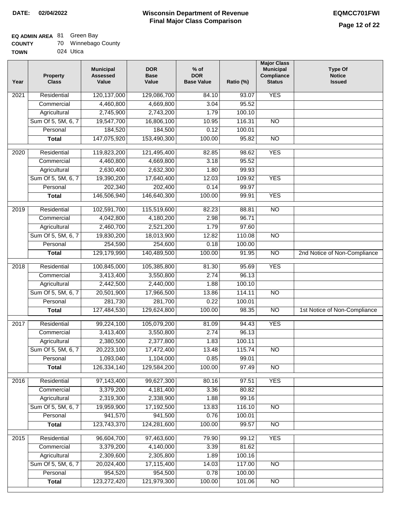## **EQ ADMIN AREA** 81 Green Bay

| <b>COUNTY</b> |  |  | Winnebago County |
|---------------|--|--|------------------|
|---------------|--|--|------------------|

**TOWN** 024 Utica

| <b>YES</b><br>Residential<br>120,137,000<br>$\overline{202}1$<br>129,086,700<br>84.10<br>93.07<br>4,460,800<br>4,669,800<br>3.04<br>95.52<br>Commercial<br>Agricultural<br>2,745,900<br>2,743,200<br>1.79<br>100.10<br>Sum Of 5, 5M, 6, 7<br>19,547,700<br>16,806,100<br>10.95<br>116.31<br>$\overline{NO}$<br>184,520<br>184,500<br>Personal<br>0.12<br>100.01<br>147,075,920<br>153,490,300<br>100.00<br>95.82<br>$\overline{NO}$<br><b>Total</b><br><b>YES</b><br>$\overline{2020}$<br>Residential<br>119,823,200<br>121,495,400<br>82.85<br>98.62<br>95.52<br>Commercial<br>4,460,800<br>4,669,800<br>3.18<br>2,630,400<br>2,632,300<br>1.80<br>99.93<br>Agricultural<br>Sum Of 5, 5M, 6, 7<br>19,390,200<br>17,640,400<br>12.03<br>109.92<br><b>YES</b><br>202,340<br>202,400<br>0.14<br>99.97<br>Personal<br>146,506,940<br>146,640,300<br><b>YES</b><br>100.00<br>99.91<br><b>Total</b><br>115,519,600<br>2019<br>Residential<br>102,591,700<br>82.23<br>88.81<br>$\overline{10}$<br>4,042,800<br>4,180,200<br>2.98<br>96.71<br>Commercial<br>2,460,700<br>2,521,200<br>1.79<br>97.60<br>Agricultural<br>Sum Of 5, 5M, 6, 7<br>19,830,200<br>18,013,900<br>12.82<br>110.08<br>$\overline{NO}$<br>254,590<br>254,600<br>Personal<br>0.18<br>100.00<br>129,179,990<br>140,489,500<br>100.00<br>$\overline{NO}$<br><b>Total</b><br>91.95<br>2nd Notice of Non-Compliance<br>Residential<br>100,845,000<br>105,385,800<br>95.69<br><b>YES</b><br>2018<br>81.30<br>2.74<br>96.13<br>Commercial<br>3,413,400<br>3,550,800<br>2,442,500<br>2,440,000<br>100.10<br>Agricultural<br>1.88<br>Sum Of 5, 5M, 6, 7<br>20,501,900<br>17,966,500<br>114.11<br>$\overline{10}$<br>13.86<br>Personal<br>281,730<br>281,700<br>0.22<br>100.01<br>127,484,530<br>129,624,800<br>100.00<br>98.35<br>$\overline{10}$<br>1st Notice of Non-Compliance<br><b>Total</b><br>2017<br>Residential<br>105,079,200<br>94.43<br><b>YES</b><br>99,224,100<br>81.09<br>2.74<br>Commercial<br>3,413,400<br>3,550,800<br>96.13<br>2,377,800<br>100.11<br>2,380,500<br>1.83<br>Agricultural<br>Sum Of 5, 5M, 6, 7<br>20,223,100<br>17,472,400<br>13.48<br>115.74<br><b>NO</b><br>Personal<br>1,093,040<br>1,104,000<br>0.85<br>99.01<br>126,334,140<br>129,584,200<br>100.00<br>97.49<br><b>Total</b><br><b>NO</b><br><b>YES</b><br>Residential<br>97,143,400<br>99,627,300<br>80.16<br>2016<br>97.51<br>3,379,200<br>4,181,400<br>3.36<br>80.82<br>Commercial<br>2,319,300<br>2,338,900<br>1.88<br>99.16<br>Agricultural<br>Sum Of 5, 5M, 6, 7<br>19,959,900<br>17,192,500<br>13.83<br>116.10<br>$\overline{NO}$<br>941,570<br>941,500<br>0.76<br>Personal<br>100.01<br>123,743,370<br>124,281,600<br>100.00<br>99.57<br>$\overline{NO}$<br><b>Total</b><br><b>YES</b><br>2015<br>Residential<br>96,604,700<br>97,463,600<br>79.90<br>99.12<br>3,379,200<br>4,140,000<br>3.39<br>81.62<br>Commercial<br>2,309,600<br>2,305,800<br>1.89<br>100.16<br>Agricultural<br>Sum Of 5, 5M, 6, 7<br>20,024,400<br>17,115,400<br>14.03<br>117.00<br>$\overline{NO}$<br>954,520<br>954,500<br>0.78<br>Personal<br>100.00<br>123,272,420<br>121,979,300<br>100.00<br><b>Total</b><br>101.06<br>N <sub>O</sub> | Year | <b>Property</b><br><b>Class</b> | <b>Municipal</b><br><b>Assessed</b><br>Value | <b>DOR</b><br>Base<br>Value | $%$ of<br><b>DOR</b><br><b>Base Value</b> | Ratio (%) | <b>Major Class</b><br><b>Municipal</b><br>Compliance<br><b>Status</b> | <b>Type Of</b><br><b>Notice</b><br><b>Issued</b> |
|-----------------------------------------------------------------------------------------------------------------------------------------------------------------------------------------------------------------------------------------------------------------------------------------------------------------------------------------------------------------------------------------------------------------------------------------------------------------------------------------------------------------------------------------------------------------------------------------------------------------------------------------------------------------------------------------------------------------------------------------------------------------------------------------------------------------------------------------------------------------------------------------------------------------------------------------------------------------------------------------------------------------------------------------------------------------------------------------------------------------------------------------------------------------------------------------------------------------------------------------------------------------------------------------------------------------------------------------------------------------------------------------------------------------------------------------------------------------------------------------------------------------------------------------------------------------------------------------------------------------------------------------------------------------------------------------------------------------------------------------------------------------------------------------------------------------------------------------------------------------------------------------------------------------------------------------------------------------------------------------------------------------------------------------------------------------------------------------------------------------------------------------------------------------------------------------------------------------------------------------------------------------------------------------------------------------------------------------------------------------------------------------------------------------------------------------------------------------------------------------------------------------------------------------------------------------------------------------------------------------------------------------------------------------------------------------------------------------------------------------------------------------------------------------------------------------------------------------------------------------------------------------------------------------------------------------------------------------------------------------------------------------------------------------------------------------------------------------------------------------------------------------------------------------------|------|---------------------------------|----------------------------------------------|-----------------------------|-------------------------------------------|-----------|-----------------------------------------------------------------------|--------------------------------------------------|
|                                                                                                                                                                                                                                                                                                                                                                                                                                                                                                                                                                                                                                                                                                                                                                                                                                                                                                                                                                                                                                                                                                                                                                                                                                                                                                                                                                                                                                                                                                                                                                                                                                                                                                                                                                                                                                                                                                                                                                                                                                                                                                                                                                                                                                                                                                                                                                                                                                                                                                                                                                                                                                                                                                                                                                                                                                                                                                                                                                                                                                                                                                                                                                       |      |                                 |                                              |                             |                                           |           |                                                                       |                                                  |
|                                                                                                                                                                                                                                                                                                                                                                                                                                                                                                                                                                                                                                                                                                                                                                                                                                                                                                                                                                                                                                                                                                                                                                                                                                                                                                                                                                                                                                                                                                                                                                                                                                                                                                                                                                                                                                                                                                                                                                                                                                                                                                                                                                                                                                                                                                                                                                                                                                                                                                                                                                                                                                                                                                                                                                                                                                                                                                                                                                                                                                                                                                                                                                       |      |                                 |                                              |                             |                                           |           |                                                                       |                                                  |
|                                                                                                                                                                                                                                                                                                                                                                                                                                                                                                                                                                                                                                                                                                                                                                                                                                                                                                                                                                                                                                                                                                                                                                                                                                                                                                                                                                                                                                                                                                                                                                                                                                                                                                                                                                                                                                                                                                                                                                                                                                                                                                                                                                                                                                                                                                                                                                                                                                                                                                                                                                                                                                                                                                                                                                                                                                                                                                                                                                                                                                                                                                                                                                       |      |                                 |                                              |                             |                                           |           |                                                                       |                                                  |
|                                                                                                                                                                                                                                                                                                                                                                                                                                                                                                                                                                                                                                                                                                                                                                                                                                                                                                                                                                                                                                                                                                                                                                                                                                                                                                                                                                                                                                                                                                                                                                                                                                                                                                                                                                                                                                                                                                                                                                                                                                                                                                                                                                                                                                                                                                                                                                                                                                                                                                                                                                                                                                                                                                                                                                                                                                                                                                                                                                                                                                                                                                                                                                       |      |                                 |                                              |                             |                                           |           |                                                                       |                                                  |
|                                                                                                                                                                                                                                                                                                                                                                                                                                                                                                                                                                                                                                                                                                                                                                                                                                                                                                                                                                                                                                                                                                                                                                                                                                                                                                                                                                                                                                                                                                                                                                                                                                                                                                                                                                                                                                                                                                                                                                                                                                                                                                                                                                                                                                                                                                                                                                                                                                                                                                                                                                                                                                                                                                                                                                                                                                                                                                                                                                                                                                                                                                                                                                       |      |                                 |                                              |                             |                                           |           |                                                                       |                                                  |
|                                                                                                                                                                                                                                                                                                                                                                                                                                                                                                                                                                                                                                                                                                                                                                                                                                                                                                                                                                                                                                                                                                                                                                                                                                                                                                                                                                                                                                                                                                                                                                                                                                                                                                                                                                                                                                                                                                                                                                                                                                                                                                                                                                                                                                                                                                                                                                                                                                                                                                                                                                                                                                                                                                                                                                                                                                                                                                                                                                                                                                                                                                                                                                       |      |                                 |                                              |                             |                                           |           |                                                                       |                                                  |
|                                                                                                                                                                                                                                                                                                                                                                                                                                                                                                                                                                                                                                                                                                                                                                                                                                                                                                                                                                                                                                                                                                                                                                                                                                                                                                                                                                                                                                                                                                                                                                                                                                                                                                                                                                                                                                                                                                                                                                                                                                                                                                                                                                                                                                                                                                                                                                                                                                                                                                                                                                                                                                                                                                                                                                                                                                                                                                                                                                                                                                                                                                                                                                       |      |                                 |                                              |                             |                                           |           |                                                                       |                                                  |
|                                                                                                                                                                                                                                                                                                                                                                                                                                                                                                                                                                                                                                                                                                                                                                                                                                                                                                                                                                                                                                                                                                                                                                                                                                                                                                                                                                                                                                                                                                                                                                                                                                                                                                                                                                                                                                                                                                                                                                                                                                                                                                                                                                                                                                                                                                                                                                                                                                                                                                                                                                                                                                                                                                                                                                                                                                                                                                                                                                                                                                                                                                                                                                       |      |                                 |                                              |                             |                                           |           |                                                                       |                                                  |
|                                                                                                                                                                                                                                                                                                                                                                                                                                                                                                                                                                                                                                                                                                                                                                                                                                                                                                                                                                                                                                                                                                                                                                                                                                                                                                                                                                                                                                                                                                                                                                                                                                                                                                                                                                                                                                                                                                                                                                                                                                                                                                                                                                                                                                                                                                                                                                                                                                                                                                                                                                                                                                                                                                                                                                                                                                                                                                                                                                                                                                                                                                                                                                       |      |                                 |                                              |                             |                                           |           |                                                                       |                                                  |
|                                                                                                                                                                                                                                                                                                                                                                                                                                                                                                                                                                                                                                                                                                                                                                                                                                                                                                                                                                                                                                                                                                                                                                                                                                                                                                                                                                                                                                                                                                                                                                                                                                                                                                                                                                                                                                                                                                                                                                                                                                                                                                                                                                                                                                                                                                                                                                                                                                                                                                                                                                                                                                                                                                                                                                                                                                                                                                                                                                                                                                                                                                                                                                       |      |                                 |                                              |                             |                                           |           |                                                                       |                                                  |
|                                                                                                                                                                                                                                                                                                                                                                                                                                                                                                                                                                                                                                                                                                                                                                                                                                                                                                                                                                                                                                                                                                                                                                                                                                                                                                                                                                                                                                                                                                                                                                                                                                                                                                                                                                                                                                                                                                                                                                                                                                                                                                                                                                                                                                                                                                                                                                                                                                                                                                                                                                                                                                                                                                                                                                                                                                                                                                                                                                                                                                                                                                                                                                       |      |                                 |                                              |                             |                                           |           |                                                                       |                                                  |
|                                                                                                                                                                                                                                                                                                                                                                                                                                                                                                                                                                                                                                                                                                                                                                                                                                                                                                                                                                                                                                                                                                                                                                                                                                                                                                                                                                                                                                                                                                                                                                                                                                                                                                                                                                                                                                                                                                                                                                                                                                                                                                                                                                                                                                                                                                                                                                                                                                                                                                                                                                                                                                                                                                                                                                                                                                                                                                                                                                                                                                                                                                                                                                       |      |                                 |                                              |                             |                                           |           |                                                                       |                                                  |
|                                                                                                                                                                                                                                                                                                                                                                                                                                                                                                                                                                                                                                                                                                                                                                                                                                                                                                                                                                                                                                                                                                                                                                                                                                                                                                                                                                                                                                                                                                                                                                                                                                                                                                                                                                                                                                                                                                                                                                                                                                                                                                                                                                                                                                                                                                                                                                                                                                                                                                                                                                                                                                                                                                                                                                                                                                                                                                                                                                                                                                                                                                                                                                       |      |                                 |                                              |                             |                                           |           |                                                                       |                                                  |
|                                                                                                                                                                                                                                                                                                                                                                                                                                                                                                                                                                                                                                                                                                                                                                                                                                                                                                                                                                                                                                                                                                                                                                                                                                                                                                                                                                                                                                                                                                                                                                                                                                                                                                                                                                                                                                                                                                                                                                                                                                                                                                                                                                                                                                                                                                                                                                                                                                                                                                                                                                                                                                                                                                                                                                                                                                                                                                                                                                                                                                                                                                                                                                       |      |                                 |                                              |                             |                                           |           |                                                                       |                                                  |
|                                                                                                                                                                                                                                                                                                                                                                                                                                                                                                                                                                                                                                                                                                                                                                                                                                                                                                                                                                                                                                                                                                                                                                                                                                                                                                                                                                                                                                                                                                                                                                                                                                                                                                                                                                                                                                                                                                                                                                                                                                                                                                                                                                                                                                                                                                                                                                                                                                                                                                                                                                                                                                                                                                                                                                                                                                                                                                                                                                                                                                                                                                                                                                       |      |                                 |                                              |                             |                                           |           |                                                                       |                                                  |
|                                                                                                                                                                                                                                                                                                                                                                                                                                                                                                                                                                                                                                                                                                                                                                                                                                                                                                                                                                                                                                                                                                                                                                                                                                                                                                                                                                                                                                                                                                                                                                                                                                                                                                                                                                                                                                                                                                                                                                                                                                                                                                                                                                                                                                                                                                                                                                                                                                                                                                                                                                                                                                                                                                                                                                                                                                                                                                                                                                                                                                                                                                                                                                       |      |                                 |                                              |                             |                                           |           |                                                                       |                                                  |
|                                                                                                                                                                                                                                                                                                                                                                                                                                                                                                                                                                                                                                                                                                                                                                                                                                                                                                                                                                                                                                                                                                                                                                                                                                                                                                                                                                                                                                                                                                                                                                                                                                                                                                                                                                                                                                                                                                                                                                                                                                                                                                                                                                                                                                                                                                                                                                                                                                                                                                                                                                                                                                                                                                                                                                                                                                                                                                                                                                                                                                                                                                                                                                       |      |                                 |                                              |                             |                                           |           |                                                                       |                                                  |
|                                                                                                                                                                                                                                                                                                                                                                                                                                                                                                                                                                                                                                                                                                                                                                                                                                                                                                                                                                                                                                                                                                                                                                                                                                                                                                                                                                                                                                                                                                                                                                                                                                                                                                                                                                                                                                                                                                                                                                                                                                                                                                                                                                                                                                                                                                                                                                                                                                                                                                                                                                                                                                                                                                                                                                                                                                                                                                                                                                                                                                                                                                                                                                       |      |                                 |                                              |                             |                                           |           |                                                                       |                                                  |
|                                                                                                                                                                                                                                                                                                                                                                                                                                                                                                                                                                                                                                                                                                                                                                                                                                                                                                                                                                                                                                                                                                                                                                                                                                                                                                                                                                                                                                                                                                                                                                                                                                                                                                                                                                                                                                                                                                                                                                                                                                                                                                                                                                                                                                                                                                                                                                                                                                                                                                                                                                                                                                                                                                                                                                                                                                                                                                                                                                                                                                                                                                                                                                       |      |                                 |                                              |                             |                                           |           |                                                                       |                                                  |
|                                                                                                                                                                                                                                                                                                                                                                                                                                                                                                                                                                                                                                                                                                                                                                                                                                                                                                                                                                                                                                                                                                                                                                                                                                                                                                                                                                                                                                                                                                                                                                                                                                                                                                                                                                                                                                                                                                                                                                                                                                                                                                                                                                                                                                                                                                                                                                                                                                                                                                                                                                                                                                                                                                                                                                                                                                                                                                                                                                                                                                                                                                                                                                       |      |                                 |                                              |                             |                                           |           |                                                                       |                                                  |
|                                                                                                                                                                                                                                                                                                                                                                                                                                                                                                                                                                                                                                                                                                                                                                                                                                                                                                                                                                                                                                                                                                                                                                                                                                                                                                                                                                                                                                                                                                                                                                                                                                                                                                                                                                                                                                                                                                                                                                                                                                                                                                                                                                                                                                                                                                                                                                                                                                                                                                                                                                                                                                                                                                                                                                                                                                                                                                                                                                                                                                                                                                                                                                       |      |                                 |                                              |                             |                                           |           |                                                                       |                                                  |
|                                                                                                                                                                                                                                                                                                                                                                                                                                                                                                                                                                                                                                                                                                                                                                                                                                                                                                                                                                                                                                                                                                                                                                                                                                                                                                                                                                                                                                                                                                                                                                                                                                                                                                                                                                                                                                                                                                                                                                                                                                                                                                                                                                                                                                                                                                                                                                                                                                                                                                                                                                                                                                                                                                                                                                                                                                                                                                                                                                                                                                                                                                                                                                       |      |                                 |                                              |                             |                                           |           |                                                                       |                                                  |
|                                                                                                                                                                                                                                                                                                                                                                                                                                                                                                                                                                                                                                                                                                                                                                                                                                                                                                                                                                                                                                                                                                                                                                                                                                                                                                                                                                                                                                                                                                                                                                                                                                                                                                                                                                                                                                                                                                                                                                                                                                                                                                                                                                                                                                                                                                                                                                                                                                                                                                                                                                                                                                                                                                                                                                                                                                                                                                                                                                                                                                                                                                                                                                       |      |                                 |                                              |                             |                                           |           |                                                                       |                                                  |
|                                                                                                                                                                                                                                                                                                                                                                                                                                                                                                                                                                                                                                                                                                                                                                                                                                                                                                                                                                                                                                                                                                                                                                                                                                                                                                                                                                                                                                                                                                                                                                                                                                                                                                                                                                                                                                                                                                                                                                                                                                                                                                                                                                                                                                                                                                                                                                                                                                                                                                                                                                                                                                                                                                                                                                                                                                                                                                                                                                                                                                                                                                                                                                       |      |                                 |                                              |                             |                                           |           |                                                                       |                                                  |
|                                                                                                                                                                                                                                                                                                                                                                                                                                                                                                                                                                                                                                                                                                                                                                                                                                                                                                                                                                                                                                                                                                                                                                                                                                                                                                                                                                                                                                                                                                                                                                                                                                                                                                                                                                                                                                                                                                                                                                                                                                                                                                                                                                                                                                                                                                                                                                                                                                                                                                                                                                                                                                                                                                                                                                                                                                                                                                                                                                                                                                                                                                                                                                       |      |                                 |                                              |                             |                                           |           |                                                                       |                                                  |
|                                                                                                                                                                                                                                                                                                                                                                                                                                                                                                                                                                                                                                                                                                                                                                                                                                                                                                                                                                                                                                                                                                                                                                                                                                                                                                                                                                                                                                                                                                                                                                                                                                                                                                                                                                                                                                                                                                                                                                                                                                                                                                                                                                                                                                                                                                                                                                                                                                                                                                                                                                                                                                                                                                                                                                                                                                                                                                                                                                                                                                                                                                                                                                       |      |                                 |                                              |                             |                                           |           |                                                                       |                                                  |
|                                                                                                                                                                                                                                                                                                                                                                                                                                                                                                                                                                                                                                                                                                                                                                                                                                                                                                                                                                                                                                                                                                                                                                                                                                                                                                                                                                                                                                                                                                                                                                                                                                                                                                                                                                                                                                                                                                                                                                                                                                                                                                                                                                                                                                                                                                                                                                                                                                                                                                                                                                                                                                                                                                                                                                                                                                                                                                                                                                                                                                                                                                                                                                       |      |                                 |                                              |                             |                                           |           |                                                                       |                                                  |
|                                                                                                                                                                                                                                                                                                                                                                                                                                                                                                                                                                                                                                                                                                                                                                                                                                                                                                                                                                                                                                                                                                                                                                                                                                                                                                                                                                                                                                                                                                                                                                                                                                                                                                                                                                                                                                                                                                                                                                                                                                                                                                                                                                                                                                                                                                                                                                                                                                                                                                                                                                                                                                                                                                                                                                                                                                                                                                                                                                                                                                                                                                                                                                       |      |                                 |                                              |                             |                                           |           |                                                                       |                                                  |
|                                                                                                                                                                                                                                                                                                                                                                                                                                                                                                                                                                                                                                                                                                                                                                                                                                                                                                                                                                                                                                                                                                                                                                                                                                                                                                                                                                                                                                                                                                                                                                                                                                                                                                                                                                                                                                                                                                                                                                                                                                                                                                                                                                                                                                                                                                                                                                                                                                                                                                                                                                                                                                                                                                                                                                                                                                                                                                                                                                                                                                                                                                                                                                       |      |                                 |                                              |                             |                                           |           |                                                                       |                                                  |
|                                                                                                                                                                                                                                                                                                                                                                                                                                                                                                                                                                                                                                                                                                                                                                                                                                                                                                                                                                                                                                                                                                                                                                                                                                                                                                                                                                                                                                                                                                                                                                                                                                                                                                                                                                                                                                                                                                                                                                                                                                                                                                                                                                                                                                                                                                                                                                                                                                                                                                                                                                                                                                                                                                                                                                                                                                                                                                                                                                                                                                                                                                                                                                       |      |                                 |                                              |                             |                                           |           |                                                                       |                                                  |
|                                                                                                                                                                                                                                                                                                                                                                                                                                                                                                                                                                                                                                                                                                                                                                                                                                                                                                                                                                                                                                                                                                                                                                                                                                                                                                                                                                                                                                                                                                                                                                                                                                                                                                                                                                                                                                                                                                                                                                                                                                                                                                                                                                                                                                                                                                                                                                                                                                                                                                                                                                                                                                                                                                                                                                                                                                                                                                                                                                                                                                                                                                                                                                       |      |                                 |                                              |                             |                                           |           |                                                                       |                                                  |
|                                                                                                                                                                                                                                                                                                                                                                                                                                                                                                                                                                                                                                                                                                                                                                                                                                                                                                                                                                                                                                                                                                                                                                                                                                                                                                                                                                                                                                                                                                                                                                                                                                                                                                                                                                                                                                                                                                                                                                                                                                                                                                                                                                                                                                                                                                                                                                                                                                                                                                                                                                                                                                                                                                                                                                                                                                                                                                                                                                                                                                                                                                                                                                       |      |                                 |                                              |                             |                                           |           |                                                                       |                                                  |
|                                                                                                                                                                                                                                                                                                                                                                                                                                                                                                                                                                                                                                                                                                                                                                                                                                                                                                                                                                                                                                                                                                                                                                                                                                                                                                                                                                                                                                                                                                                                                                                                                                                                                                                                                                                                                                                                                                                                                                                                                                                                                                                                                                                                                                                                                                                                                                                                                                                                                                                                                                                                                                                                                                                                                                                                                                                                                                                                                                                                                                                                                                                                                                       |      |                                 |                                              |                             |                                           |           |                                                                       |                                                  |
|                                                                                                                                                                                                                                                                                                                                                                                                                                                                                                                                                                                                                                                                                                                                                                                                                                                                                                                                                                                                                                                                                                                                                                                                                                                                                                                                                                                                                                                                                                                                                                                                                                                                                                                                                                                                                                                                                                                                                                                                                                                                                                                                                                                                                                                                                                                                                                                                                                                                                                                                                                                                                                                                                                                                                                                                                                                                                                                                                                                                                                                                                                                                                                       |      |                                 |                                              |                             |                                           |           |                                                                       |                                                  |
|                                                                                                                                                                                                                                                                                                                                                                                                                                                                                                                                                                                                                                                                                                                                                                                                                                                                                                                                                                                                                                                                                                                                                                                                                                                                                                                                                                                                                                                                                                                                                                                                                                                                                                                                                                                                                                                                                                                                                                                                                                                                                                                                                                                                                                                                                                                                                                                                                                                                                                                                                                                                                                                                                                                                                                                                                                                                                                                                                                                                                                                                                                                                                                       |      |                                 |                                              |                             |                                           |           |                                                                       |                                                  |
|                                                                                                                                                                                                                                                                                                                                                                                                                                                                                                                                                                                                                                                                                                                                                                                                                                                                                                                                                                                                                                                                                                                                                                                                                                                                                                                                                                                                                                                                                                                                                                                                                                                                                                                                                                                                                                                                                                                                                                                                                                                                                                                                                                                                                                                                                                                                                                                                                                                                                                                                                                                                                                                                                                                                                                                                                                                                                                                                                                                                                                                                                                                                                                       |      |                                 |                                              |                             |                                           |           |                                                                       |                                                  |
|                                                                                                                                                                                                                                                                                                                                                                                                                                                                                                                                                                                                                                                                                                                                                                                                                                                                                                                                                                                                                                                                                                                                                                                                                                                                                                                                                                                                                                                                                                                                                                                                                                                                                                                                                                                                                                                                                                                                                                                                                                                                                                                                                                                                                                                                                                                                                                                                                                                                                                                                                                                                                                                                                                                                                                                                                                                                                                                                                                                                                                                                                                                                                                       |      |                                 |                                              |                             |                                           |           |                                                                       |                                                  |
|                                                                                                                                                                                                                                                                                                                                                                                                                                                                                                                                                                                                                                                                                                                                                                                                                                                                                                                                                                                                                                                                                                                                                                                                                                                                                                                                                                                                                                                                                                                                                                                                                                                                                                                                                                                                                                                                                                                                                                                                                                                                                                                                                                                                                                                                                                                                                                                                                                                                                                                                                                                                                                                                                                                                                                                                                                                                                                                                                                                                                                                                                                                                                                       |      |                                 |                                              |                             |                                           |           |                                                                       |                                                  |
|                                                                                                                                                                                                                                                                                                                                                                                                                                                                                                                                                                                                                                                                                                                                                                                                                                                                                                                                                                                                                                                                                                                                                                                                                                                                                                                                                                                                                                                                                                                                                                                                                                                                                                                                                                                                                                                                                                                                                                                                                                                                                                                                                                                                                                                                                                                                                                                                                                                                                                                                                                                                                                                                                                                                                                                                                                                                                                                                                                                                                                                                                                                                                                       |      |                                 |                                              |                             |                                           |           |                                                                       |                                                  |
|                                                                                                                                                                                                                                                                                                                                                                                                                                                                                                                                                                                                                                                                                                                                                                                                                                                                                                                                                                                                                                                                                                                                                                                                                                                                                                                                                                                                                                                                                                                                                                                                                                                                                                                                                                                                                                                                                                                                                                                                                                                                                                                                                                                                                                                                                                                                                                                                                                                                                                                                                                                                                                                                                                                                                                                                                                                                                                                                                                                                                                                                                                                                                                       |      |                                 |                                              |                             |                                           |           |                                                                       |                                                  |
|                                                                                                                                                                                                                                                                                                                                                                                                                                                                                                                                                                                                                                                                                                                                                                                                                                                                                                                                                                                                                                                                                                                                                                                                                                                                                                                                                                                                                                                                                                                                                                                                                                                                                                                                                                                                                                                                                                                                                                                                                                                                                                                                                                                                                                                                                                                                                                                                                                                                                                                                                                                                                                                                                                                                                                                                                                                                                                                                                                                                                                                                                                                                                                       |      |                                 |                                              |                             |                                           |           |                                                                       |                                                  |
|                                                                                                                                                                                                                                                                                                                                                                                                                                                                                                                                                                                                                                                                                                                                                                                                                                                                                                                                                                                                                                                                                                                                                                                                                                                                                                                                                                                                                                                                                                                                                                                                                                                                                                                                                                                                                                                                                                                                                                                                                                                                                                                                                                                                                                                                                                                                                                                                                                                                                                                                                                                                                                                                                                                                                                                                                                                                                                                                                                                                                                                                                                                                                                       |      |                                 |                                              |                             |                                           |           |                                                                       |                                                  |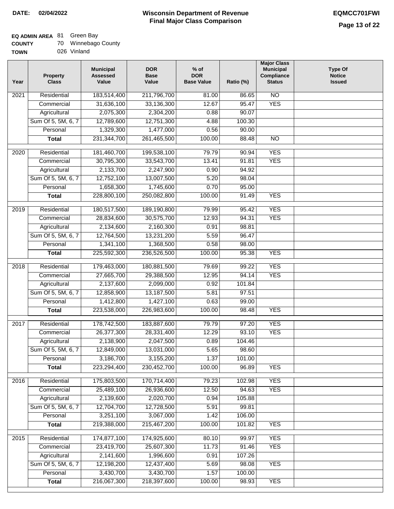# **EQ ADMIN AREA** 81 Green Bay

| <b>COUNTY</b> |  | Winnebago County |
|---------------|--|------------------|
|---------------|--|------------------|

**TOWN** 026 Vinland

| Year              | <b>Property</b><br><b>Class</b> | <b>Municipal</b><br><b>Assessed</b><br>Value | <b>DOR</b><br><b>Base</b><br>Value | $%$ of<br><b>DOR</b><br><b>Base Value</b> | Ratio (%) | <b>Major Class</b><br><b>Municipal</b><br>Compliance<br><b>Status</b> | Type Of<br><b>Notice</b><br><b>Issued</b> |
|-------------------|---------------------------------|----------------------------------------------|------------------------------------|-------------------------------------------|-----------|-----------------------------------------------------------------------|-------------------------------------------|
| $\overline{202}1$ | Residential                     | 183,514,400                                  | 211,796,700                        | 81.00                                     | 86.65     | $\overline{NO}$                                                       |                                           |
|                   | Commercial                      | 31,636,100                                   | 33,136,300                         | 12.67                                     | 95.47     | <b>YES</b>                                                            |                                           |
|                   | Agricultural                    | 2,075,300                                    | 2,304,200                          | 0.88                                      | 90.07     |                                                                       |                                           |
|                   | Sum Of 5, 5M, 6, 7              | 12,789,600                                   | 12,751,300                         | 4.88                                      | 100.30    |                                                                       |                                           |
|                   | Personal                        | 1,329,300                                    | 1,477,000                          | 0.56                                      | 90.00     |                                                                       |                                           |
|                   | <b>Total</b>                    | 231, 344, 700                                | 261,465,500                        | 100.00                                    | 88.48     | $\overline{NO}$                                                       |                                           |
| $\overline{2020}$ | Residential                     | 181,460,700                                  | 199,538,100                        | 79.79                                     | 90.94     | <b>YES</b>                                                            |                                           |
|                   | Commercial                      | 30,795,300                                   | 33,543,700                         | 13.41                                     | 91.81     | <b>YES</b>                                                            |                                           |
|                   | Agricultural                    | 2,133,700                                    | 2,247,900                          | 0.90                                      | 94.92     |                                                                       |                                           |
|                   | Sum Of 5, 5M, 6, 7              | 12,752,100                                   | 13,007,500                         | 5.20                                      | 98.04     |                                                                       |                                           |
|                   | Personal                        | 1,658,300                                    | 1,745,600                          | 0.70                                      | 95.00     |                                                                       |                                           |
|                   | <b>Total</b>                    | 228,800,100                                  | 250,082,800                        | 100.00                                    | 91.49     | <b>YES</b>                                                            |                                           |
|                   |                                 |                                              |                                    |                                           |           |                                                                       |                                           |
| 2019              | Residential                     | 180,517,500                                  | 189,190,800                        | 79.99                                     | 95.42     | <b>YES</b>                                                            |                                           |
|                   | Commercial                      | 28,834,600                                   | 30,575,700                         | 12.93                                     | 94.31     | <b>YES</b>                                                            |                                           |
|                   | Agricultural                    | 2,134,600                                    | 2,160,300                          | 0.91                                      | 98.81     |                                                                       |                                           |
|                   | Sum Of 5, 5M, 6, 7              | 12,764,500                                   | 13,231,200                         | 5.59                                      | 96.47     |                                                                       |                                           |
|                   | Personal                        | 1,341,100                                    | 1,368,500                          | 0.58                                      | 98.00     |                                                                       |                                           |
|                   | <b>Total</b>                    | 225,592,300                                  | 236,526,500                        | 100.00                                    | 95.38     | <b>YES</b>                                                            |                                           |
| 2018              | Residential                     | 179,463,000                                  | 180,881,500                        | 79.69                                     | 99.22     | <b>YES</b>                                                            |                                           |
|                   | Commercial                      | 27,665,700                                   | 29,388,500                         | 12.95                                     | 94.14     | <b>YES</b>                                                            |                                           |
|                   | Agricultural                    | 2,137,600                                    | 2,099,000                          | 0.92                                      | 101.84    |                                                                       |                                           |
|                   | Sum Of 5, 5M, 6, 7              | 12,858,900                                   | 13,187,500                         | 5.81                                      | 97.51     |                                                                       |                                           |
|                   | Personal                        | 1,412,800                                    | 1,427,100                          | 0.63                                      | 99.00     |                                                                       |                                           |
|                   | <b>Total</b>                    | 223,538,000                                  | 226,983,600                        | 100.00                                    | 98.48     | <b>YES</b>                                                            |                                           |
| 2017              | Residential                     | 178,742,500                                  | 183,887,600                        | 79.79                                     | 97.20     | <b>YES</b>                                                            |                                           |
|                   | Commercial                      | 26,377,300                                   | 28,331,400                         | 12.29                                     | 93.10     | <b>YES</b>                                                            |                                           |
|                   | Agricultural                    | 2,138,900                                    | 2,047,500                          | 0.89                                      | 104.46    |                                                                       |                                           |
|                   | Sum Of 5, 5M, 6, 7              | 12,849,000                                   | 13,031,000                         | 5.65                                      | 98.60     |                                                                       |                                           |
|                   | Personal                        | 3,186,700                                    | 3,155,200                          | 1.37                                      | 101.00    |                                                                       |                                           |
|                   | <b>Total</b>                    | 223,294,400                                  | 230,452,700                        | 100.00                                    | 96.89     | <b>YES</b>                                                            |                                           |
| 2016              | Residential                     | 175,803,500                                  | 170,714,400                        | 79.23                                     | 102.98    | <b>YES</b>                                                            |                                           |
|                   | Commercial                      | 25,489,100                                   | 26,936,600                         | 12.50                                     | 94.63     | <b>YES</b>                                                            |                                           |
|                   | Agricultural                    | 2,139,600                                    | 2,020,700                          | 0.94                                      | 105.88    |                                                                       |                                           |
|                   | Sum Of 5, 5M, 6, 7              | 12,704,700                                   | 12,728,500                         | 5.91                                      | 99.81     |                                                                       |                                           |
|                   | Personal                        | 3,251,100                                    | 3,067,000                          | 1.42                                      | 106.00    |                                                                       |                                           |
|                   | <b>Total</b>                    | 219,388,000                                  | 215,467,200                        | 100.00                                    | 101.82    | <b>YES</b>                                                            |                                           |
|                   |                                 |                                              |                                    |                                           |           |                                                                       |                                           |
| 2015              | Residential                     | 174,877,100                                  | 174,925,600                        | 80.10                                     | 99.97     | <b>YES</b>                                                            |                                           |
|                   | Commercial                      | 23,419,700                                   | 25,607,300                         | 11.73                                     | 91.46     | <b>YES</b>                                                            |                                           |
|                   | Agricultural                    | 2,141,600                                    | 1,996,600                          | 0.91                                      | 107.26    |                                                                       |                                           |
|                   | Sum Of 5, 5M, 6, 7              | 12,198,200                                   | 12,437,400                         | 5.69                                      | 98.08     | <b>YES</b>                                                            |                                           |
|                   | Personal                        | 3,430,700                                    | 3,430,700                          | 1.57                                      | 100.00    |                                                                       |                                           |
|                   | <b>Total</b>                    | 216,067,300                                  | 218,397,600                        | 100.00                                    | 98.93     | <b>YES</b>                                                            |                                           |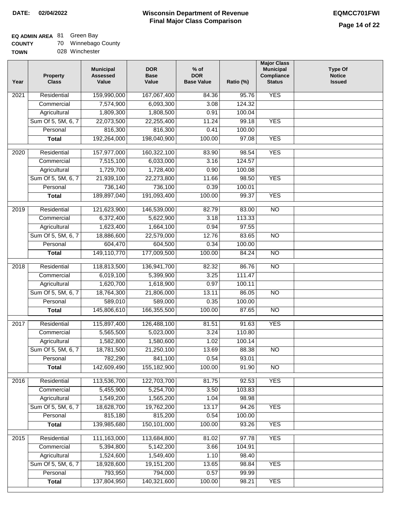### **EQ ADMIN AREA** 81 Green Bay

| <b>COUNTY</b> | 70 | Winnebago County |
|---------------|----|------------------|
| <b>TOWN</b>   |    | 028 Winchester   |

| Year              | <b>Property</b><br><b>Class</b> | <b>Municipal</b><br><b>Assessed</b><br>Value | <b>DOR</b><br><b>Base</b><br>Value | % of<br><b>DOR</b><br><b>Base Value</b> | Ratio (%)       | <b>Major Class</b><br><b>Municipal</b><br>Compliance<br><b>Status</b> | <b>Type Of</b><br><b>Notice</b><br><b>Issued</b> |
|-------------------|---------------------------------|----------------------------------------------|------------------------------------|-----------------------------------------|-----------------|-----------------------------------------------------------------------|--------------------------------------------------|
| 2021              | Residential                     | 159,990,000                                  | 167,067,400                        | 84.36                                   | 95.76           | <b>YES</b>                                                            |                                                  |
|                   | Commercial                      | 7,574,900                                    | 6,093,300                          | 3.08                                    | 124.32          |                                                                       |                                                  |
|                   | Agricultural                    | 1,809,300                                    | 1,808,500                          | 0.91                                    | 100.04          |                                                                       |                                                  |
|                   | Sum Of 5, 5M, 6, 7              | 22,073,500                                   | 22,255,400                         | 11.24                                   | 99.18           | <b>YES</b>                                                            |                                                  |
|                   | Personal                        | 816,300                                      | 816,300                            | 0.41                                    | 100.00          |                                                                       |                                                  |
|                   | <b>Total</b>                    | 192,264,000                                  | 198,040,900                        | 100.00                                  | 97.08           | <b>YES</b>                                                            |                                                  |
| $\overline{2020}$ | Residential                     |                                              |                                    |                                         |                 | <b>YES</b>                                                            |                                                  |
|                   |                                 | 157,977,000                                  | 160,322,100                        | 83.90                                   | 98.54<br>124.57 |                                                                       |                                                  |
|                   | Commercial<br>Agricultural      | 7,515,100<br>1,729,700                       | 6,033,000<br>1,728,400             | 3.16<br>0.90                            | 100.08          |                                                                       |                                                  |
|                   | Sum Of 5, 5M, 6, 7              | 21,939,100                                   | 22,273,800                         | 11.66                                   | 98.50           | <b>YES</b>                                                            |                                                  |
|                   | Personal                        | 736,140                                      | 736,100                            | 0.39                                    | 100.01          |                                                                       |                                                  |
|                   | <b>Total</b>                    | 189,897,040                                  | 191,093,400                        | 100.00                                  | 99.37           | <b>YES</b>                                                            |                                                  |
|                   |                                 |                                              |                                    |                                         |                 |                                                                       |                                                  |
| 2019              | Residential                     | 121,623,900                                  | 146,539,000                        | 82.79                                   | 83.00           | $\overline{NO}$                                                       |                                                  |
|                   | Commercial                      | 6,372,400                                    | 5,622,900                          | 3.18                                    | 113.33          |                                                                       |                                                  |
|                   | Agricultural                    | 1,623,400                                    | 1,664,100                          | 0.94                                    | 97.55           |                                                                       |                                                  |
|                   | Sum Of 5, 5M, 6, 7              | 18,886,600                                   | 22,579,000                         | 12.76                                   | 83.65           | $\overline{NO}$                                                       |                                                  |
|                   | Personal                        | 604,470                                      | 604,500                            | 0.34                                    | 100.00          |                                                                       |                                                  |
|                   | <b>Total</b>                    | 149,110,770                                  | 177,009,500                        | 100.00                                  | 84.24           | $\overline{NO}$                                                       |                                                  |
| 2018              | Residential                     | 118,813,500                                  | 136,941,700                        | 82.32                                   | 86.76           | $\overline{10}$                                                       |                                                  |
|                   | Commercial                      | 6,019,100                                    | 5,399,900                          | 3.25                                    | 111.47          |                                                                       |                                                  |
|                   | Agricultural                    | 1,620,700                                    | 1,618,900                          | 0.97                                    | 100.11          |                                                                       |                                                  |
|                   | Sum Of 5, 5M, 6, 7              | 18,764,300                                   | 21,806,000                         | 13.11                                   | 86.05           | $\overline{10}$                                                       |                                                  |
|                   | Personal                        | 589,010                                      | 589,000                            | 0.35                                    | 100.00          |                                                                       |                                                  |
|                   | <b>Total</b>                    | 145,806,610                                  | 166,355,500                        | 100.00                                  | 87.65           | <b>NO</b>                                                             |                                                  |
| 2017              | Residential                     | 115,897,400                                  | 126,488,100                        | 81.51                                   | 91.63           | <b>YES</b>                                                            |                                                  |
|                   | Commercial                      | 5,565,500                                    | 5,023,000                          | 3.24                                    | 110.80          |                                                                       |                                                  |
|                   | Agricultural                    | 1,582,800                                    | 1,580,600                          | 1.02                                    | 100.14          |                                                                       |                                                  |
|                   | Sum Of 5, 5M, 6, 7              | 18,781,500                                   | 21,250,100                         | 13.69                                   | 88.38           | <b>NO</b>                                                             |                                                  |
|                   | Personal                        | 782,290                                      | 841,100                            | 0.54                                    | 93.01           |                                                                       |                                                  |
|                   | <b>Total</b>                    | 142,609,490                                  | 155,182,900                        | 100.00                                  | 91.90           | $\overline{NO}$                                                       |                                                  |
|                   |                                 |                                              |                                    |                                         |                 |                                                                       |                                                  |
| 2016              | Residential                     | 113,536,700                                  | 122,703,700                        | 81.75                                   | 92.53           | <b>YES</b>                                                            |                                                  |
|                   | Commercial                      | 5,455,900                                    | 5,254,700                          | 3.50                                    | 103.83          |                                                                       |                                                  |
|                   | Agricultural                    | 1,549,200                                    | 1,565,200                          | 1.04                                    | 98.98           |                                                                       |                                                  |
|                   | Sum Of 5, 5M, 6, 7              | 18,628,700                                   | 19,762,200                         | 13.17                                   | 94.26           | <b>YES</b>                                                            |                                                  |
|                   | Personal                        | 815,180<br>139,985,680                       | 815,200                            | 0.54                                    | 100.00          | <b>YES</b>                                                            |                                                  |
|                   | <b>Total</b>                    |                                              | 150,101,000                        | 100.00                                  | 93.26           |                                                                       |                                                  |
| 2015              | Residential                     | 111,163,000                                  | 113,684,800                        | 81.02                                   | 97.78           | <b>YES</b>                                                            |                                                  |
|                   | Commercial                      | 5,394,800                                    | 5,142,200                          | 3.66                                    | 104.91          |                                                                       |                                                  |
|                   | Agricultural                    | 1,524,600                                    | 1,549,400                          | 1.10                                    | 98.40           |                                                                       |                                                  |
|                   | Sum Of 5, 5M, 6, 7              | 18,928,600                                   | 19,151,200                         | 13.65                                   | 98.84           | <b>YES</b>                                                            |                                                  |
|                   | Personal                        | 793,950                                      | 794,000                            | 0.57                                    | 99.99           |                                                                       |                                                  |
|                   | <b>Total</b>                    | 137,804,950                                  | 140,321,600                        | 100.00                                  | 98.21           | <b>YES</b>                                                            |                                                  |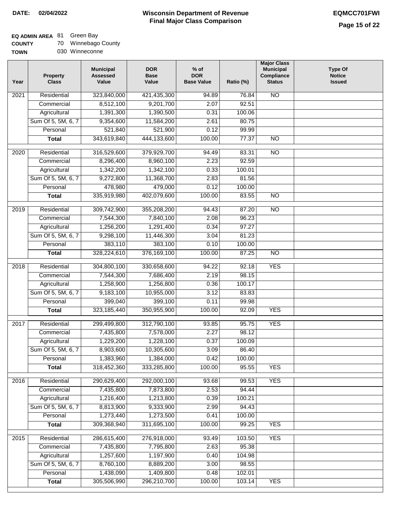**TOWN**

#### **Wisconsin Department of Revenue Final Major Class Comparison DATE: 02/04/2022 EQMCC701FWI**

### **EQ ADMIN AREA** 81 Green Bay

| <b>COUNTY</b> |  | Winnebago County |  |
|---------------|--|------------------|--|
|---------------|--|------------------|--|

030 Winneconne

| Year              | <b>Property</b><br><b>Class</b> | <b>Municipal</b><br><b>Assessed</b><br>Value | <b>DOR</b><br><b>Base</b><br>Value | $%$ of<br><b>DOR</b><br><b>Base Value</b> | Ratio (%) | <b>Major Class</b><br><b>Municipal</b><br>Compliance<br><b>Status</b> | <b>Type Of</b><br><b>Notice</b><br><b>Issued</b> |
|-------------------|---------------------------------|----------------------------------------------|------------------------------------|-------------------------------------------|-----------|-----------------------------------------------------------------------|--------------------------------------------------|
| 2021              | Residential                     | 323,840,000                                  | 421,435,300                        | 94.89                                     | 76.84     | $\overline{NO}$                                                       |                                                  |
|                   | Commercial                      | 8,512,100                                    | 9,201,700                          | 2.07                                      | 92.51     |                                                                       |                                                  |
|                   | Agricultural                    | 1,391,300                                    | 1,390,500                          | 0.31                                      | 100.06    |                                                                       |                                                  |
|                   | Sum Of 5, 5M, 6, 7              | 9,354,600                                    | 11,584,200                         | 2.61                                      | 80.75     |                                                                       |                                                  |
|                   | Personal                        | $\overline{521,840}$                         | 521,900                            | 0.12                                      | 99.99     |                                                                       |                                                  |
|                   | <b>Total</b>                    | 343,619,840                                  | 444,133,600                        | 100.00                                    | 77.37     | $\overline{NO}$                                                       |                                                  |
| 2020              | Residential                     | 316,529,600                                  | 379,929,700                        | 94.49                                     | 83.31     | $\overline{NO}$                                                       |                                                  |
|                   | Commercial                      | 8,296,400                                    | 8,960,100                          | 2.23                                      | 92.59     |                                                                       |                                                  |
|                   | Agricultural                    | 1,342,200                                    | 1,342,100                          | 0.33                                      | 100.01    |                                                                       |                                                  |
|                   | Sum Of 5, 5M, 6, 7              | 9,272,800                                    | 11,368,700                         | 2.83                                      | 81.56     |                                                                       |                                                  |
|                   | Personal                        | 478,980                                      | 479,000                            | 0.12                                      | 100.00    |                                                                       |                                                  |
|                   | <b>Total</b>                    | 335,919,980                                  | 402,079,600                        | 100.00                                    | 83.55     | $\overline{NO}$                                                       |                                                  |
| 2019              | Residential                     | 309,742,900                                  | 355,208,200                        | 94.43                                     | 87.20     | $\overline{NO}$                                                       |                                                  |
|                   | Commercial                      | 7,544,300                                    | 7,840,100                          | 2.08                                      | 96.23     |                                                                       |                                                  |
|                   | Agricultural                    | 1,256,200                                    | 1,291,400                          | 0.34                                      | 97.27     |                                                                       |                                                  |
|                   | Sum Of 5, 5M, 6, 7              | 9,298,100                                    | 11,446,300                         | 3.04                                      | 81.23     |                                                                       |                                                  |
|                   | Personal                        | 383,110                                      | 383,100                            | 0.10                                      | 100.00    |                                                                       |                                                  |
|                   | <b>Total</b>                    | 328,224,610                                  | 376,169,100                        | 100.00                                    | 87.25     | $\overline{NO}$                                                       |                                                  |
| $\overline{2018}$ | Residential                     | 304,800,100                                  | 330,658,600                        | 94.22                                     | 92.18     | <b>YES</b>                                                            |                                                  |
|                   | Commercial                      | 7,544,300                                    | 7,686,400                          | 2.19                                      | 98.15     |                                                                       |                                                  |
|                   | Agricultural                    | 1,258,900                                    | 1,256,800                          | 0.36                                      | 100.17    |                                                                       |                                                  |
|                   | Sum Of 5, 5M, 6, 7              | 9,183,100                                    | 10,955,000                         | 3.12                                      | 83.83     |                                                                       |                                                  |
|                   | Personal                        | 399,040                                      | 399,100                            | 0.11                                      | 99.98     |                                                                       |                                                  |
|                   | <b>Total</b>                    | 323,185,440                                  | 350,955,900                        | 100.00                                    | 92.09     | <b>YES</b>                                                            |                                                  |
|                   |                                 |                                              |                                    |                                           |           |                                                                       |                                                  |
| 2017              | Residential                     | 299,499,800                                  | 312,790,100                        | 93.85                                     | 95.75     | <b>YES</b>                                                            |                                                  |
|                   | Commercial                      | 7,435,800                                    | 7,578,000                          | 2.27                                      | 98.12     |                                                                       |                                                  |
|                   | Agricultural                    | 1,229,200                                    | 1,228,100                          | 0.37                                      | 100.09    |                                                                       |                                                  |
|                   | Sum Of 5, 5M, 6, 7              | 8,903,600                                    | 10,305,600                         | 3.09                                      | 86.40     |                                                                       |                                                  |
|                   | Personal                        | 1,383,960                                    | 1,384,000                          | 0.42                                      | 100.00    |                                                                       |                                                  |
|                   | <b>Total</b>                    | 318,452,360                                  | 333,285,800                        | 100.00                                    | 95.55     | <b>YES</b>                                                            |                                                  |
| 2016              | Residential                     | 290,629,400                                  | 292,000,100                        | 93.68                                     | 99.53     | <b>YES</b>                                                            |                                                  |
|                   | Commercial                      | 7,435,800                                    | 7,873,800                          | 2.53                                      | 94.44     |                                                                       |                                                  |
|                   | Agricultural                    | 1,216,400                                    | 1,213,800                          | 0.39                                      | 100.21    |                                                                       |                                                  |
|                   | Sum Of 5, 5M, 6, 7              | 8,813,900                                    | 9,333,900                          | 2.99                                      | 94.43     |                                                                       |                                                  |
|                   | Personal                        | 1,273,440                                    | 1,273,500                          | 0.41                                      | 100.00    |                                                                       |                                                  |
|                   | <b>Total</b>                    | 309,368,940                                  | 311,695,100                        | 100.00                                    | 99.25     | <b>YES</b>                                                            |                                                  |
| 2015              | Residential                     | 286,615,400                                  | 276,918,000                        | 93.49                                     | 103.50    | <b>YES</b>                                                            |                                                  |
|                   | Commercial                      | 7,435,800                                    | 7,795,800                          | 2.63                                      | 95.38     |                                                                       |                                                  |
|                   | Agricultural                    | 1,257,600                                    | 1,197,900                          | 0.40                                      | 104.98    |                                                                       |                                                  |
|                   | Sum Of 5, 5M, 6, 7              | 8,760,100                                    | 8,889,200                          | 3.00                                      | 98.55     |                                                                       |                                                  |
|                   | Personal                        | 1,438,090                                    | 1,409,800                          | 0.48                                      | 102.01    |                                                                       |                                                  |
|                   | <b>Total</b>                    | 305,506,990                                  | 296,210,700                        | 100.00                                    | 103.14    | <b>YES</b>                                                            |                                                  |
|                   |                                 |                                              |                                    |                                           |           |                                                                       |                                                  |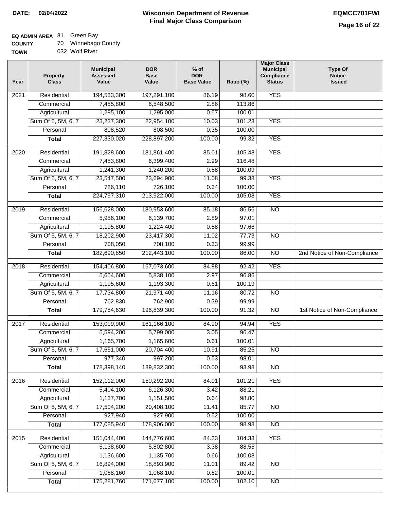## **EQ ADMIN AREA** 81 Green Bay

| <b>COUNTY</b> |  | 70 Winnebago County |  |
|---------------|--|---------------------|--|
|---------------|--|---------------------|--|

| <b>TOWN</b> | 032 Wolf River |
|-------------|----------------|
|-------------|----------------|

| Year | <b>Property</b><br><b>Class</b> | <b>Municipal</b><br><b>Assessed</b><br>Value | <b>DOR</b><br><b>Base</b><br>Value | $%$ of<br><b>DOR</b><br><b>Base Value</b> | Ratio (%) | <b>Major Class</b><br><b>Municipal</b><br>Compliance<br><b>Status</b> | <b>Type Of</b><br><b>Notice</b><br><b>Issued</b> |
|------|---------------------------------|----------------------------------------------|------------------------------------|-------------------------------------------|-----------|-----------------------------------------------------------------------|--------------------------------------------------|
| 2021 | Residential                     | 194,533,300                                  | 197,291,100                        | 86.19                                     | 98.60     | <b>YES</b>                                                            |                                                  |
|      | Commercial                      | 7,455,800                                    | 6,548,500                          | 2.86                                      | 113.86    |                                                                       |                                                  |
|      | Agricultural                    | 1,295,100                                    | 1,295,000                          | 0.57                                      | 100.01    |                                                                       |                                                  |
|      | Sum Of 5, 5M, 6, 7              | 23,237,300                                   | 22,954,100                         | 10.03                                     | 101.23    | <b>YES</b>                                                            |                                                  |
|      | Personal                        | 808,520                                      | 808,500                            | 0.35                                      | 100.00    |                                                                       |                                                  |
|      | <b>Total</b>                    | 227,330,020                                  | 228,897,200                        | 100.00                                    | 99.32     | <b>YES</b>                                                            |                                                  |
| 2020 | Residential                     | 191,828,600                                  | 181,861,400                        | 85.01                                     | 105.48    | <b>YES</b>                                                            |                                                  |
|      | Commercial                      | 7,453,800                                    | 6,399,400                          | 2.99                                      | 116.48    |                                                                       |                                                  |
|      | Agricultural                    | 1,241,300                                    | 1,240,200                          | 0.58                                      | 100.09    |                                                                       |                                                  |
|      | Sum Of 5, 5M, 6, 7              | 23,547,500                                   | 23,694,900                         | 11.08                                     | 99.38     | <b>YES</b>                                                            |                                                  |
|      | Personal                        | 726,110                                      | 726,100                            | 0.34                                      | 100.00    |                                                                       |                                                  |
|      | <b>Total</b>                    | 224,797,310                                  | 213,922,000                        | 100.00                                    | 105.08    | <b>YES</b>                                                            |                                                  |
| 2019 | Residential                     | 156,628,000                                  | 180,953,600                        | 85.18                                     | 86.56     | $\overline{10}$                                                       |                                                  |
|      | Commercial                      | 5,956,100                                    | 6,139,700                          | 2.89                                      | 97.01     |                                                                       |                                                  |
|      | Agricultural                    | 1,195,800                                    | 1,224,400                          | 0.58                                      | 97.66     |                                                                       |                                                  |
|      | Sum Of 5, 5M, 6, 7              | 18,202,900                                   | 23,417,300                         | 11.02                                     | 77.73     | $\overline{N}$                                                        |                                                  |
|      | Personal                        | 708,050                                      | 708,100                            | 0.33                                      | 99.99     |                                                                       |                                                  |
|      | <b>Total</b>                    | 182,690,850                                  | 212,443,100                        | 100.00                                    | 86.00     | $\overline{NO}$                                                       | 2nd Notice of Non-Compliance                     |
|      |                                 |                                              |                                    |                                           |           |                                                                       |                                                  |
| 2018 | Residential                     | 154,406,800                                  | 167,073,600                        | 84.88                                     | 92.42     | <b>YES</b>                                                            |                                                  |
|      | Commercial                      | 5,654,600                                    | 5,838,100                          | 2.97                                      | 96.86     |                                                                       |                                                  |
|      | Agricultural                    | 1,195,600                                    | 1,193,300                          | 0.61                                      | 100.19    |                                                                       |                                                  |
|      | Sum Of 5, 5M, 6, 7              | 17,734,800                                   | 21,971,400                         | 11.16                                     | 80.72     | $\overline{10}$                                                       |                                                  |
|      | Personal                        | 762,830                                      | 762,900                            | 0.39                                      | 99.99     |                                                                       |                                                  |
|      | <b>Total</b>                    | 179,754,630                                  | 196,839,300                        | 100.00                                    | 91.32     | $\overline{10}$                                                       | 1st Notice of Non-Compliance                     |
| 2017 | Residential                     | 153,009,900                                  | 161,166,100                        | 84.90                                     | 94.94     | <b>YES</b>                                                            |                                                  |
|      | Commercial                      | 5,594,200                                    | 5,799,000                          | 3.05                                      | 96.47     |                                                                       |                                                  |
|      | Agricultural                    | 1,165,700                                    | 1,165,600                          | 0.61                                      | 100.01    |                                                                       |                                                  |
|      | Sum Of 5, 5M, 6, 7              | 17,651,000                                   | 20,704,400                         | 10.91                                     | 85.25     | <b>NO</b>                                                             |                                                  |
|      | Personal                        | 977,340                                      | 997,200                            | 0.53                                      | 98.01     |                                                                       |                                                  |
|      | <b>Total</b>                    | 178,398,140                                  | 189,832,300                        | 100.00                                    | 93.98     | $\overline{NO}$                                                       |                                                  |
| 2016 | Residential                     | 152,112,000                                  | 150,292,200                        | 84.01                                     | 101.21    | <b>YES</b>                                                            |                                                  |
|      | Commercial                      | 5,404,100                                    | 6,126,300                          | 3.42                                      | 88.21     |                                                                       |                                                  |
|      | Agricultural                    | 1,137,700                                    | 1,151,500                          | 0.64                                      | 98.80     |                                                                       |                                                  |
|      | Sum Of 5, 5M, 6, 7              | 17,504,200                                   | 20,408,100                         | 11.41                                     | 85.77     | $\overline{NO}$                                                       |                                                  |
|      | Personal                        | 927,940                                      | 927,900                            | 0.52                                      | 100.00    |                                                                       |                                                  |
|      | <b>Total</b>                    | 177,085,940                                  | 178,906,000                        | 100.00                                    | 98.98     | <b>NO</b>                                                             |                                                  |
| 2015 | Residential                     | 151,044,400                                  | 144,776,600                        | 84.33                                     | 104.33    | <b>YES</b>                                                            |                                                  |
|      | Commercial                      | 5,138,600                                    | 5,802,800                          | 3.38                                      | 88.55     |                                                                       |                                                  |
|      | Agricultural                    | 1,136,600                                    | 1,135,700                          | 0.66                                      | 100.08    |                                                                       |                                                  |
|      | Sum Of 5, 5M, 6, 7              | 16,894,000                                   | 18,893,900                         | 11.01                                     | 89.42     | N <sub>O</sub>                                                        |                                                  |
|      | Personal                        | 1,068,160                                    | 1,068,100                          | 0.62                                      | 100.01    |                                                                       |                                                  |
|      | <b>Total</b>                    | 175,281,760                                  | 171,677,100                        | 100.00                                    | 102.10    | $\overline{NO}$                                                       |                                                  |
|      |                                 |                                              |                                    |                                           |           |                                                                       |                                                  |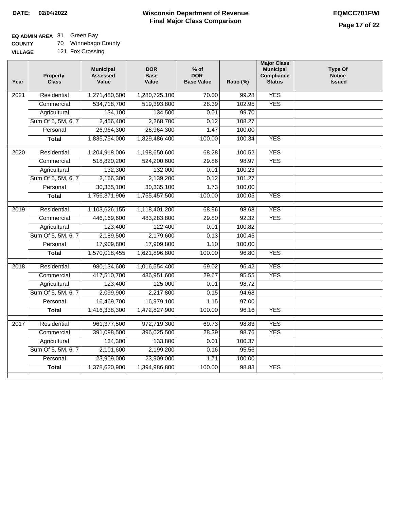## **EQ ADMIN AREA** 81 Green Bay

**COUNTY** 70 Winnebago County

| -------        | $\sim$ $\sim$ $\sim$ $\sim$ $\sim$ $\sim$ $\sim$ |  |
|----------------|--------------------------------------------------|--|
| <b>VILLAGE</b> | 121 Fox Crossing                                 |  |

| Year              | Property<br><b>Class</b> | <b>Municipal</b><br><b>Assessed</b><br>Value | <b>DOR</b><br><b>Base</b><br>Value | $%$ of<br><b>DOR</b><br><b>Base Value</b> | Ratio (%) | <b>Major Class</b><br><b>Municipal</b><br><b>Compliance</b><br><b>Status</b> | <b>Type Of</b><br><b>Notice</b><br><b>Issued</b> |
|-------------------|--------------------------|----------------------------------------------|------------------------------------|-------------------------------------------|-----------|------------------------------------------------------------------------------|--------------------------------------------------|
| $\overline{202}1$ | Residential              | 1,271,480,500                                | 1,280,725,100                      | 70.00                                     | 99.28     | <b>YES</b>                                                                   |                                                  |
|                   | Commercial               | 534,718,700                                  | 519,393,800                        | 28.39                                     | 102.95    | <b>YES</b>                                                                   |                                                  |
|                   | Agricultural             | 134,100                                      | 134,500                            | 0.01                                      | 99.70     |                                                                              |                                                  |
|                   | Sum Of 5, 5M, 6, 7       | 2,456,400                                    | 2,268,700                          | 0.12                                      | 108.27    |                                                                              |                                                  |
|                   | Personal                 | 26,964,300                                   | 26,964,300                         | 1.47                                      | 100.00    |                                                                              |                                                  |
|                   | <b>Total</b>             | 1,835,754,000                                | 1,829,486,400                      | 100.00                                    | 100.34    | <b>YES</b>                                                                   |                                                  |
| 2020              | Residential              | 1,204,918,006                                | 1,198,650,600                      | 68.28                                     | 100.52    | <b>YES</b>                                                                   |                                                  |
|                   | Commercial               | 518,820,200                                  | 524,200,600                        | 29.86                                     | 98.97     | <b>YES</b>                                                                   |                                                  |
|                   | Agricultural             | 132,300                                      | 132,000                            | 0.01                                      | 100.23    |                                                                              |                                                  |
|                   | Sum Of 5, 5M, 6, 7       | 2,166,300                                    | 2,139,200                          | 0.12                                      | 101.27    |                                                                              |                                                  |
|                   | Personal                 | 30,335,100                                   | 30,335,100                         | 1.73                                      | 100.00    |                                                                              |                                                  |
|                   | <b>Total</b>             | 1,756,371,906                                | 1,755,457,500                      | 100.00                                    | 100.05    | <b>YES</b>                                                                   |                                                  |
| 2019              | Residential              | 1,103,626,155                                | 1,118,401,200                      | 68.96                                     | 98.68     | <b>YES</b>                                                                   |                                                  |
|                   | Commercial               | 446,169,600                                  | 483,283,800                        | 29.80                                     | 92.32     | <b>YES</b>                                                                   |                                                  |
|                   | Agricultural             | 123,400                                      | 122,400                            | 0.01                                      | 100.82    |                                                                              |                                                  |
|                   | Sum Of 5, 5M, 6, 7       | 2,189,500                                    | 2,179,600                          | 0.13                                      | 100.45    |                                                                              |                                                  |
|                   | Personal                 | 17,909,800                                   | 17,909,800                         | 1.10                                      | 100.00    |                                                                              |                                                  |
|                   | <b>Total</b>             | 1,570,018,455                                | 1,621,896,800                      | 100.00                                    | 96.80     | <b>YES</b>                                                                   |                                                  |
| 2018              | Residential              | 980,134,600                                  | 1,016,554,400                      | 69.02                                     | 96.42     | <b>YES</b>                                                                   |                                                  |
|                   | Commercial               | 417,510,700                                  | 436,951,600                        | 29.67                                     | 95.55     | <b>YES</b>                                                                   |                                                  |
|                   | Agricultural             | 123,400                                      | 125,000                            | 0.01                                      | 98.72     |                                                                              |                                                  |
|                   | Sum Of 5, 5M, 6, 7       | 2,099,900                                    | 2,217,800                          | 0.15                                      | 94.68     |                                                                              |                                                  |
|                   | Personal                 | 16,469,700                                   | 16,979,100                         | 1.15                                      | 97.00     |                                                                              |                                                  |
|                   | <b>Total</b>             | 1,416,338,300                                | 1,472,827,900                      | 100.00                                    | 96.16     | <b>YES</b>                                                                   |                                                  |
| 2017              | Residential              | 961, 377, 500                                | 972,719,300                        | 69.73                                     | 98.83     | <b>YES</b>                                                                   |                                                  |
|                   | Commercial               | 391,098,500                                  | 396,025,500                        | 28.39                                     | 98.76     | <b>YES</b>                                                                   |                                                  |
|                   | Agricultural             | 134,300                                      | 133,800                            | 0.01                                      | 100.37    |                                                                              |                                                  |
|                   | Sum Of 5, 5M, 6, 7       | 2,101,600                                    | 2,199,200                          | 0.16                                      | 95.56     |                                                                              |                                                  |
|                   | Personal                 | 23,909,000                                   | 23,909,000                         | 1.71                                      | 100.00    |                                                                              |                                                  |
|                   | <b>Total</b>             | 1,378,620,900                                | 1,394,986,800                      | 100.00                                    | 98.83     | <b>YES</b>                                                                   |                                                  |
|                   |                          |                                              |                                    |                                           |           |                                                                              |                                                  |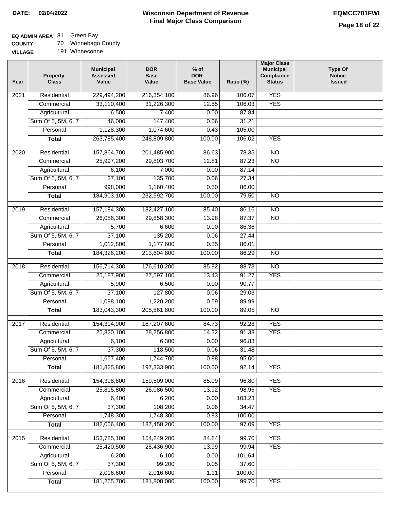#### **Wisconsin Department of Revenue Final Major Class Comparison DATE: 02/04/2022 EQMCC701FWI**

# **EQ ADMIN AREA** 81 Green Bay

**COUNTY** 70 Winnebago County

| <b>UUUNIT</b>  | 1 U | <b>VVIIIIIGUAYU CU</b> |
|----------------|-----|------------------------|
| <b>VILLAGE</b> |     | 191 Winneconne         |

| Year              | <b>Property</b><br><b>Class</b> | <b>Municipal</b><br><b>Assessed</b><br>Value | <b>DOR</b><br><b>Base</b><br>Value | $%$ of<br><b>DOR</b><br><b>Base Value</b> | Ratio (%) | <b>Major Class</b><br><b>Municipal</b><br>Compliance<br><b>Status</b> | <b>Type Of</b><br><b>Notice</b><br><b>Issued</b> |
|-------------------|---------------------------------|----------------------------------------------|------------------------------------|-------------------------------------------|-----------|-----------------------------------------------------------------------|--------------------------------------------------|
| 2021              | Residential                     | 229,494,200                                  | 216,354,100                        | 86.96                                     | 106.07    | <b>YES</b>                                                            |                                                  |
|                   | Commercial                      | 33,110,400                                   | 31,226,300                         | 12.55                                     | 106.03    | <b>YES</b>                                                            |                                                  |
|                   | Agricultural                    | 6,500                                        | 7,400                              | 0.00                                      | 87.84     |                                                                       |                                                  |
|                   | Sum Of 5, 5M, 6, 7              | 46,000                                       | 147,400                            | 0.06                                      | 31.21     |                                                                       |                                                  |
|                   | Personal                        | 1,128,300                                    | 1,074,600                          | 0.43                                      | 105.00    |                                                                       |                                                  |
|                   | <b>Total</b>                    | 263,785,400                                  | 248,809,800                        | 100.00                                    | 106.02    | <b>YES</b>                                                            |                                                  |
| $\overline{2020}$ | Residential                     | 157,864,700                                  | 201,485,900                        | 86.63                                     | 78.35     | NO                                                                    |                                                  |
|                   | Commercial                      | 25,997,200                                   | 29,803,700                         | 12.81                                     | 87.23     | $\overline{NO}$                                                       |                                                  |
|                   | Agricultural                    | 6,100                                        | 7,000                              | 0.00                                      | 87.14     |                                                                       |                                                  |
|                   | Sum Of 5, 5M, 6, 7              | 37,100                                       | 135,700                            | 0.06                                      | 27.34     |                                                                       |                                                  |
|                   | Personal                        | 998,000                                      | 1,160,400                          | 0.50                                      | 86.00     |                                                                       |                                                  |
|                   | <b>Total</b>                    | 184,903,100                                  | 232,592,700                        | 100.00                                    | 79.50     | <b>NO</b>                                                             |                                                  |
|                   |                                 |                                              |                                    |                                           |           |                                                                       |                                                  |
| $\frac{1}{2019}$  | Residential                     | 157, 184, 300                                | 182,427,100                        | 85.40                                     | 86.16     | $\overline{NO}$                                                       |                                                  |
|                   | Commercial                      | 26,086,300                                   | 29,858,300                         | 13.98                                     | 87.37     | $\overline{NO}$                                                       |                                                  |
|                   | Agricultural                    | 5,700                                        | 6,600                              | 0.00                                      | 86.36     |                                                                       |                                                  |
|                   | Sum Of 5, 5M, 6, 7              | 37,100                                       | 135,200                            | 0.06                                      | 27.44     |                                                                       |                                                  |
|                   | Personal                        | 1,012,800                                    | 1,177,600                          | 0.55                                      | 86.01     |                                                                       |                                                  |
|                   | <b>Total</b>                    | 184,326,200                                  | 213,604,800                        | 100.00                                    | 86.29     | N <sub>O</sub>                                                        |                                                  |
| 2018              | Residential                     | 156,714,300                                  | 176,610,200                        | 85.92                                     | 88.73     | $\overline{NO}$                                                       |                                                  |
|                   | Commercial                      | 25,187,900                                   | 27,597,100                         | 13.43                                     | 91.27     | <b>YES</b>                                                            |                                                  |
|                   | Agricultural                    | 5,900                                        | 6,500                              | 0.00                                      | 90.77     |                                                                       |                                                  |
|                   | Sum Of 5, 5M, 6, 7              | 37,100                                       | 127,800                            | 0.06                                      | 29.03     |                                                                       |                                                  |
|                   | Personal                        | 1,098,100                                    | 1,220,200                          | 0.59                                      | 89.99     |                                                                       |                                                  |
|                   | <b>Total</b>                    | 183,043,300                                  | 205,561,800                        | 100.00                                    | 89.05     | N <sub>O</sub>                                                        |                                                  |
| 2017              | Residential                     | 154,304,900                                  | 167,207,600                        | 84.73                                     | 92.28     | <b>YES</b>                                                            |                                                  |
|                   | Commercial                      | 25,820,100                                   | 28,256,800                         | 14.32                                     | 91.38     | <b>YES</b>                                                            |                                                  |
|                   | Agricultural                    | 6,100                                        | 6,300                              | 0.00                                      | 96.83     |                                                                       |                                                  |
|                   | Sum Of 5, 5M, 6, 7              | 37,300                                       | 118,500                            | 0.06                                      | 31.48     |                                                                       |                                                  |
|                   | Personal                        | 1,657,400                                    | 1,744,700                          | 0.88                                      | 95.00     |                                                                       |                                                  |
|                   | <b>Total</b>                    | 181,825,800                                  | 197,333,900                        | 100.00                                    | 92.14     | <b>YES</b>                                                            |                                                  |
| 2016              | Residential                     | 154,398,600                                  | 159,509,000                        | 85.09                                     | 96.80     | <b>YES</b>                                                            |                                                  |
|                   | Commercial                      | 25,815,800                                   | 26,086,500                         | 13.92                                     | 98.96     | <b>YES</b>                                                            |                                                  |
|                   | Agricultural                    | 6,400                                        | 6,200                              | 0.00                                      | 103.23    |                                                                       |                                                  |
|                   | Sum Of 5, 5M, 6, 7              | 37,300                                       | 108,200                            | 0.06                                      | 34.47     |                                                                       |                                                  |
|                   | Personal                        | 1,748,300                                    | 1,748,300                          | 0.93                                      | 100.00    |                                                                       |                                                  |
|                   | <b>Total</b>                    | 182,006,400                                  | 187,458,200                        | 100.00                                    | 97.09     | <b>YES</b>                                                            |                                                  |
|                   |                                 |                                              |                                    |                                           |           |                                                                       |                                                  |
| 2015              | Residential                     | 153,785,100                                  | 154,249,200                        | 84.84                                     | 99.70     | <b>YES</b>                                                            |                                                  |
|                   | Commercial                      | 25,420,500                                   | 25,436,900                         | 13.99                                     | 99.94     | <b>YES</b>                                                            |                                                  |
|                   | Agricultural                    | 6,200                                        | 6,100                              | 0.00                                      | 101.64    |                                                                       |                                                  |
|                   | Sum Of 5, 5M, 6, 7              | 37,300                                       | 99,200                             | 0.05                                      | 37.60     |                                                                       |                                                  |
|                   | Personal                        | 2,016,600                                    | 2,016,600                          | 1.11                                      | 100.00    |                                                                       |                                                  |
|                   | <b>Total</b>                    | 181,265,700                                  | 181,808,000                        | 100.00                                    | 99.70     | <b>YES</b>                                                            |                                                  |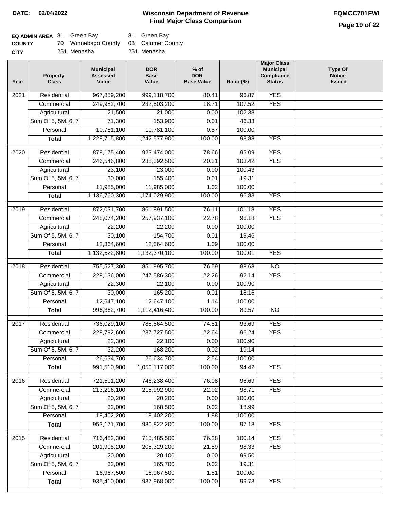# **Page 19 of 22**

| EQ ADMIN AREA 81 Green Bay |                                       | 81 Green Bay |
|----------------------------|---------------------------------------|--------------|
| <b>COUNTY</b>              | 70 Winnebago County 08 Calumet County |              |
| <b>CITY</b>                | 251 Menasha                           | 251 Menasha  |

| Year | <b>Property</b><br><b>Class</b> | <b>Municipal</b><br><b>Assessed</b><br>Value | <b>DOR</b><br><b>Base</b><br>Value | $%$ of<br><b>DOR</b><br><b>Base Value</b> | Ratio (%)       | <b>Major Class</b><br><b>Municipal</b><br>Compliance<br><b>Status</b> | <b>Type Of</b><br><b>Notice</b><br><b>Issued</b> |
|------|---------------------------------|----------------------------------------------|------------------------------------|-------------------------------------------|-----------------|-----------------------------------------------------------------------|--------------------------------------------------|
| 2021 | Residential                     | 967,859,200                                  | 999,118,700                        | 80.41                                     | 96.87           | <b>YES</b>                                                            |                                                  |
|      | Commercial                      | 249,982,700                                  | 232,503,200                        | 18.71                                     | 107.52          | <b>YES</b>                                                            |                                                  |
|      | Agricultural                    | 21,500                                       | 21,000                             | 0.00                                      | 102.38          |                                                                       |                                                  |
|      | Sum Of 5, 5M, 6, 7              | 71,300                                       | 153,900                            | 0.01                                      | 46.33           |                                                                       |                                                  |
|      | Personal                        | 10,781,100                                   | 10,781,100                         | 0.87                                      | 100.00          |                                                                       |                                                  |
|      | <b>Total</b>                    | 1,228,715,800                                | 1,242,577,900                      | 100.00                                    | 98.88           | <b>YES</b>                                                            |                                                  |
| 2020 | Residential                     | 878,175,400                                  | 923,474,000                        | 78.66                                     | 95.09           | <b>YES</b>                                                            |                                                  |
|      | Commercial                      | 246,546,800                                  | 238,392,500                        | 20.31                                     | 103.42          | <b>YES</b>                                                            |                                                  |
|      | Agricultural                    | 23,100                                       | 23,000                             | 0.00                                      | 100.43          |                                                                       |                                                  |
|      | Sum Of 5, 5M, 6, 7              | 30,000                                       | 155,400                            | 0.01                                      | 19.31           |                                                                       |                                                  |
|      | Personal                        | 11,985,000                                   | 11,985,000                         | 1.02                                      | 100.00          |                                                                       |                                                  |
|      | <b>Total</b>                    | 1,136,760,300                                | 1,174,029,900                      | 100.00                                    | 96.83           | <b>YES</b>                                                            |                                                  |
|      |                                 |                                              |                                    |                                           |                 |                                                                       |                                                  |
| 2019 | Residential                     | 872,031,700                                  | 861,891,500                        | 76.11                                     | 101.18          | <b>YES</b>                                                            |                                                  |
|      | Commercial                      | 248,074,200                                  | 257,937,100                        | 22.78                                     | 96.18           | <b>YES</b>                                                            |                                                  |
|      | Agricultural                    | 22,200                                       | 22,200                             | 0.00                                      | 100.00          |                                                                       |                                                  |
|      | Sum Of 5, 5M, 6, 7              | 30,100                                       | 154,700                            | 0.01                                      | 19.46           |                                                                       |                                                  |
|      | Personal                        | 12,364,600                                   | 12,364,600                         | 1.09                                      | 100.00          |                                                                       |                                                  |
|      | <b>Total</b>                    | 1,132,522,800                                | 1,132,370,100                      | 100.00                                    | 100.01          | <b>YES</b>                                                            |                                                  |
| 2018 | Residential                     | 755,527,300                                  | 851,995,700                        | 76.59                                     | 88.68           | $\overline{NO}$                                                       |                                                  |
|      | Commercial                      | 228,136,000                                  | 247,586,300                        | 22.26                                     | 92.14           | <b>YES</b>                                                            |                                                  |
|      | Agricultural                    | 22,300                                       | 22,100                             | 0.00                                      | 100.90          |                                                                       |                                                  |
|      | Sum Of 5, 5M, 6, 7              | 30,000                                       | 165,200                            | 0.01                                      | 18.16           |                                                                       |                                                  |
|      | Personal                        | 12,647,100                                   | 12,647,100                         | 1.14                                      | 100.00          |                                                                       |                                                  |
|      | <b>Total</b>                    | 996,362,700                                  | 1,112,416,400                      | 100.00                                    | 89.57           | $\overline{NO}$                                                       |                                                  |
| 2017 | Residential                     | 736,029,100                                  | 785,564,500                        | 74.81                                     | 93.69           | <b>YES</b>                                                            |                                                  |
|      | Commercial                      | 228,792,600                                  | 237,727,500                        | 22.64                                     | 96.24           | <b>YES</b>                                                            |                                                  |
|      | Agricultural                    | 22,300                                       | 22,100                             | 0.00                                      | 100.90          |                                                                       |                                                  |
|      | Sum Of 5, 5M, 6, 7              | 32,200                                       | 168,200                            | 0.02                                      | 19.14           |                                                                       |                                                  |
|      | Personal                        | 26,634,700                                   | 26,634,700                         | 2.54                                      | 100.00          |                                                                       |                                                  |
|      | <b>Total</b>                    | 991,510,900                                  | 1,050,117,000                      | 100.00                                    | 94.42           | <b>YES</b>                                                            |                                                  |
| 2016 | Residential                     | 721,501,200                                  | 746,238,400                        | 76.08                                     | 96.69           | <b>YES</b>                                                            |                                                  |
|      | Commercial                      | 213,216,100                                  | 215,992,900                        | 22.02                                     | 98.71           | <b>YES</b>                                                            |                                                  |
|      | Agricultural                    | 20,200                                       | 20,200                             | 0.00                                      | 100.00          |                                                                       |                                                  |
|      | Sum Of 5, 5M, 6, 7              | 32,000                                       | 168,500                            | 0.02                                      | 18.99           |                                                                       |                                                  |
|      | Personal                        | 18,402,200                                   | 18,402,200                         | 1.88                                      | 100.00          |                                                                       |                                                  |
|      | <b>Total</b>                    | 953,171,700                                  | 980,822,200                        | 100.00                                    | 97.18           | <b>YES</b>                                                            |                                                  |
|      |                                 |                                              |                                    |                                           |                 |                                                                       |                                                  |
| 2015 | Residential                     | 716,482,300                                  | 715,485,500                        | 76.28                                     | 100.14          | <b>YES</b>                                                            |                                                  |
|      | Commercial                      | 201,908,200                                  | 205,329,200                        | 21.89                                     | 98.33           | <b>YES</b>                                                            |                                                  |
|      | Agricultural                    | 20,000                                       | 20,100                             | 0.00                                      | 99.50           |                                                                       |                                                  |
|      | Sum Of 5, 5M, 6, 7              | 32,000                                       | 165,700                            | 0.02                                      | 19.31           |                                                                       |                                                  |
|      | Personal                        | 16,967,500                                   | 16,967,500                         | 1.81                                      | 100.00<br>99.73 |                                                                       |                                                  |
|      | <b>Total</b>                    | 935,410,000                                  | 937,968,000                        | 100.00                                    |                 | <b>YES</b>                                                            |                                                  |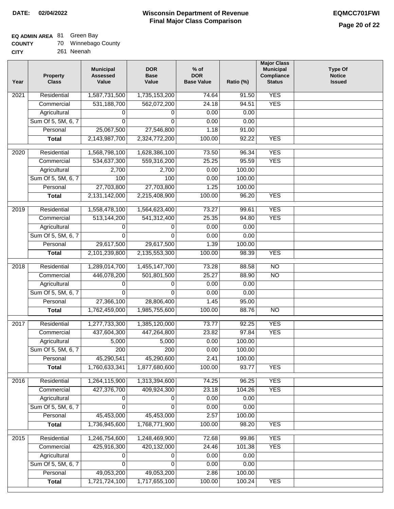## **EQ ADMIN AREA** 81 Green Bay

| <b>COUNTY</b> |  | 70 Winnebago County |
|---------------|--|---------------------|
|---------------|--|---------------------|

**CITY** 261 Neenah

| Year              | <b>Property</b><br><b>Class</b> | <b>Municipal</b><br><b>Assessed</b><br>Value | <b>DOR</b><br><b>Base</b><br>Value | $%$ of<br><b>DOR</b><br><b>Base Value</b> | Ratio (%) | <b>Major Class</b><br><b>Municipal</b><br>Compliance<br><b>Status</b> | <b>Type Of</b><br><b>Notice</b><br><b>Issued</b> |
|-------------------|---------------------------------|----------------------------------------------|------------------------------------|-------------------------------------------|-----------|-----------------------------------------------------------------------|--------------------------------------------------|
| 2021              | Residential                     | 1,587,731,500                                | 1,735,153,200                      | 74.64                                     | 91.50     | <b>YES</b>                                                            |                                                  |
|                   | Commercial                      | 531,188,700                                  | 562,072,200                        | 24.18                                     | 94.51     | <b>YES</b>                                                            |                                                  |
|                   | Agricultural                    | 0                                            | 0                                  | 0.00                                      | 0.00      |                                                                       |                                                  |
|                   | Sum Of 5, 5M, 6, 7              | $\Omega$                                     | $\mathbf{0}$                       | 0.00                                      | 0.00      |                                                                       |                                                  |
|                   | Personal                        | 25,067,500                                   | 27,546,800                         | 1.18                                      | 91.00     |                                                                       |                                                  |
|                   | <b>Total</b>                    | 2,143,987,700                                | 2,324,772,200                      | 100.00                                    | 92.22     | <b>YES</b>                                                            |                                                  |
| $\overline{2020}$ | Residential                     | 1,568,798,100                                | 1,628,386,100                      | 73.50                                     | 96.34     | <b>YES</b>                                                            |                                                  |
|                   | Commercial                      | 534,637,300                                  | 559,316,200                        | 25.25                                     | 95.59     | <b>YES</b>                                                            |                                                  |
|                   | Agricultural                    | 2,700                                        | 2,700                              | 0.00                                      | 100.00    |                                                                       |                                                  |
|                   | Sum Of 5, 5M, 6, 7              | 100                                          | 100                                | 0.00                                      | 100.00    |                                                                       |                                                  |
|                   | Personal                        | 27,703,800                                   | 27,703,800                         | 1.25                                      | 100.00    |                                                                       |                                                  |
|                   | <b>Total</b>                    | 2,131,142,000                                | 2,215,408,900                      | 100.00                                    | 96.20     | <b>YES</b>                                                            |                                                  |
| 2019              | Residential                     | 1,558,478,100                                | 1,564,623,400                      | 73.27                                     | 99.61     | <b>YES</b>                                                            |                                                  |
|                   | Commercial                      | 513,144,200                                  | 541,312,400                        | 25.35                                     | 94.80     | <b>YES</b>                                                            |                                                  |
|                   | Agricultural                    | 0                                            | 0                                  | 0.00                                      | 0.00      |                                                                       |                                                  |
|                   | Sum Of 5, 5M, 6, 7              | 0                                            | $\Omega$                           | 0.00                                      | 0.00      |                                                                       |                                                  |
|                   | Personal                        | 29,617,500                                   | 29,617,500                         | 1.39                                      | 100.00    |                                                                       |                                                  |
|                   | <b>Total</b>                    | 2,101,239,800                                | 2,135,553,300                      | 100.00                                    | 98.39     | <b>YES</b>                                                            |                                                  |
|                   |                                 |                                              |                                    |                                           |           |                                                                       |                                                  |
| 2018              | Residential                     | 1,289,014,700                                | 1,455,147,700                      | 73.28                                     | 88.58     | $\overline{10}$                                                       |                                                  |
|                   | Commercial                      | 446,078,200                                  | 501,801,500                        | 25.27                                     | 88.90     | <b>NO</b>                                                             |                                                  |
|                   | Agricultural                    | 0                                            | 0                                  | 0.00                                      | 0.00      |                                                                       |                                                  |
|                   | Sum Of 5, 5M, 6, 7              | 0                                            | $\mathbf 0$                        | 0.00                                      | 0.00      |                                                                       |                                                  |
|                   | Personal                        | 27,366,100                                   | 28,806,400                         | 1.45                                      | 95.00     |                                                                       |                                                  |
|                   | <b>Total</b>                    | 1,762,459,000                                | 1,985,755,600                      | 100.00                                    | 88.76     | $\overline{10}$                                                       |                                                  |
| 2017              | Residential                     | 1,277,733,300                                | 1,385,120,000                      | 73.77                                     | 92.25     | <b>YES</b>                                                            |                                                  |
|                   | Commercial                      | 437,604,300                                  | 447,264,800                        | 23.82                                     | 97.84     | <b>YES</b>                                                            |                                                  |
|                   | Agricultural                    | 5,000                                        | 5,000                              | 0.00                                      | 100.00    |                                                                       |                                                  |
|                   | Sum Of 5, 5M, 6, 7              | 200                                          | 200                                | 0.00                                      | 100.00    |                                                                       |                                                  |
|                   | Personal                        | 45,290,541                                   | 45,290,600                         | 2.41                                      | 100.00    |                                                                       |                                                  |
|                   | <b>Total</b>                    | 1,760,633,341                                | 1,877,680,600                      | 100.00                                    | 93.77     | <b>YES</b>                                                            |                                                  |
| 2016              | Residential                     | 1,264,115,900                                | 1,313,394,600                      | 74.25                                     | 96.25     | <b>YES</b>                                                            |                                                  |
|                   | Commercial                      | 427,376,700                                  | 409,924,300                        | 23.18                                     | 104.26    | <b>YES</b>                                                            |                                                  |
|                   | Agricultural                    | 0                                            | 0                                  | 0.00                                      | 0.00      |                                                                       |                                                  |
|                   | Sum Of 5, 5M, 6, 7              | $\Omega$                                     | $\Omega$                           | 0.00                                      | 0.00      |                                                                       |                                                  |
|                   | Personal                        | 45,453,000                                   | 45,453,000                         | 2.57                                      | 100.00    |                                                                       |                                                  |
|                   | <b>Total</b>                    | 1,736,945,600                                | 1,768,771,900                      | 100.00                                    | 98.20     | <b>YES</b>                                                            |                                                  |
| 2015              | Residential                     | 1,246,754,600                                | 1,248,469,900                      | 72.68                                     | 99.86     | <b>YES</b>                                                            |                                                  |
|                   | Commercial                      | 425,916,300                                  | 420,132,000                        | 24.46                                     | 101.38    | <b>YES</b>                                                            |                                                  |
|                   | Agricultural                    | 0                                            | 0                                  | 0.00                                      | 0.00      |                                                                       |                                                  |
|                   | Sum Of 5, 5M, 6, 7              | 0                                            | 0                                  | 0.00                                      | 0.00      |                                                                       |                                                  |
|                   | Personal                        | 49,053,200                                   | 49,053,200                         | 2.86                                      | 100.00    |                                                                       |                                                  |
|                   | <b>Total</b>                    | 1,721,724,100                                | 1,717,655,100                      | 100.00                                    | 100.24    | <b>YES</b>                                                            |                                                  |
|                   |                                 |                                              |                                    |                                           |           |                                                                       |                                                  |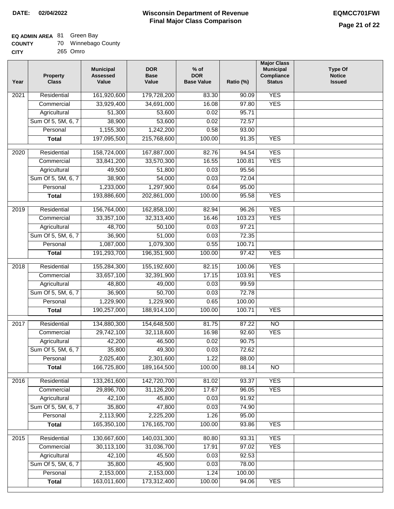# **EQ ADMIN AREA** 81 Green Bay

| <b>COUNTY</b> |  | Winnebago County |
|---------------|--|------------------|
|---------------|--|------------------|

**CITY** 265 Omro

| Year | <b>Property</b><br><b>Class</b> | <b>Municipal</b><br><b>Assessed</b><br>Value | <b>DOR</b><br><b>Base</b><br>Value | $%$ of<br><b>DOR</b><br><b>Base Value</b> | Ratio (%)        | <b>Major Class</b><br><b>Municipal</b><br>Compliance<br><b>Status</b> | <b>Type Of</b><br><b>Notice</b><br><b>Issued</b> |
|------|---------------------------------|----------------------------------------------|------------------------------------|-------------------------------------------|------------------|-----------------------------------------------------------------------|--------------------------------------------------|
| 2021 | Residential                     | 161,920,600                                  | 179,728,200                        | 83.30                                     | 90.09            | <b>YES</b>                                                            |                                                  |
|      | Commercial                      | 33,929,400                                   | 34,691,000                         | 16.08                                     | 97.80            | <b>YES</b>                                                            |                                                  |
|      | Agricultural                    | 51,300                                       | 53,600                             | 0.02                                      | 95.71            |                                                                       |                                                  |
|      | Sum Of 5, 5M, 6, 7              | 38,900                                       | 53,600                             | 0.02                                      | 72.57            |                                                                       |                                                  |
|      | Personal                        | 1,155,300                                    | 1,242,200                          | 0.58                                      | 93.00            |                                                                       |                                                  |
|      | <b>Total</b>                    | 197,095,500                                  | 215,768,600                        | 100.00                                    | 91.35            | <b>YES</b>                                                            |                                                  |
| 2020 | Residential                     | 158,724,000                                  | 167,887,000                        | 82.76                                     | 94.54            | <b>YES</b>                                                            |                                                  |
|      | Commercial                      | 33,841,200                                   | 33,570,300                         | 16.55                                     | 100.81           | <b>YES</b>                                                            |                                                  |
|      | Agricultural                    | 49,500                                       | 51,800                             | 0.03                                      | 95.56            |                                                                       |                                                  |
|      | Sum Of 5, 5M, 6, 7              | 38,900                                       | 54,000                             | 0.03                                      | 72.04            |                                                                       |                                                  |
|      | Personal                        | 1,233,000                                    | 1,297,900                          | 0.64                                      | 95.00            |                                                                       |                                                  |
|      | <b>Total</b>                    | 193,886,600                                  | 202,861,000                        | 100.00                                    | 95.58            | <b>YES</b>                                                            |                                                  |
| 2019 | Residential                     | 156,764,000                                  | 162,858,100                        | 82.94                                     | 96.26            | <b>YES</b>                                                            |                                                  |
|      | Commercial                      | 33,357,100                                   | 32,313,400                         | 16.46                                     | 103.23           | <b>YES</b>                                                            |                                                  |
|      | Agricultural                    | 48,700                                       | 50,100                             | 0.03                                      | 97.21            |                                                                       |                                                  |
|      | Sum Of 5, 5M, 6, 7              | 36,900                                       | 51,000                             | 0.03                                      | 72.35            |                                                                       |                                                  |
|      | Personal                        | 1,087,000                                    | 1,079,300                          | 0.55                                      | 100.71           |                                                                       |                                                  |
|      | <b>Total</b>                    | 191,293,700                                  | 196,351,900                        | 100.00                                    | 97.42            | <b>YES</b>                                                            |                                                  |
|      | Residential                     |                                              |                                    | 82.15                                     |                  | <b>YES</b>                                                            |                                                  |
| 2018 | Commercial                      | 155,284,300<br>33,657,100                    | 155,192,600<br>32,391,900          | 17.15                                     | 100.06<br>103.91 | <b>YES</b>                                                            |                                                  |
|      | Agricultural                    | 48,800                                       | 49,000                             | 0.03                                      | 99.59            |                                                                       |                                                  |
|      | Sum Of 5, 5M, 6, 7              | 36,900                                       | 50,700                             | 0.03                                      | 72.78            |                                                                       |                                                  |
|      | Personal                        | 1,229,900                                    | 1,229,900                          | 0.65                                      | 100.00           |                                                                       |                                                  |
|      | <b>Total</b>                    | 190,257,000                                  | 188,914,100                        | 100.00                                    | 100.71           | <b>YES</b>                                                            |                                                  |
|      |                                 |                                              |                                    |                                           |                  |                                                                       |                                                  |
| 2017 | Residential                     | 134,880,300                                  | 154,648,500                        | 81.75                                     | 87.22            | N <sub>O</sub>                                                        |                                                  |
|      | Commercial                      | 29,742,100                                   | 32,118,600                         | 16.98                                     | 92.60            | <b>YES</b>                                                            |                                                  |
|      | Agricultural                    | 42,200                                       | 46,500                             | 0.02                                      | 90.75            |                                                                       |                                                  |
|      | Sum Of 5, 5M, 6, 7              | 35,800                                       | 49,300                             | 0.03                                      | 72.62            |                                                                       |                                                  |
|      | Personal                        | 2,025,400                                    | 2,301,600                          | 1.22                                      | 88.00            |                                                                       |                                                  |
|      | <b>Total</b>                    | 166,725,800                                  | 189, 164, 500                      | 100.00                                    | 88.14            | <b>NO</b>                                                             |                                                  |
| 2016 | Residential                     | 133,261,600                                  | 142,720,700                        | 81.02                                     | 93.37            | <b>YES</b>                                                            |                                                  |
|      | Commercial                      | 29,896,700                                   | 31,126,200                         | 17.67                                     | 96.05            | <b>YES</b>                                                            |                                                  |
|      | Agricultural                    | 42,100                                       | 45,800                             | 0.03                                      | 91.92            |                                                                       |                                                  |
|      | Sum Of 5, 5M, 6, 7              | 35,800                                       | 47,800                             | 0.03                                      | 74.90            |                                                                       |                                                  |
|      | Personal                        | 2,113,900                                    | 2,225,200                          | 1.26                                      | 95.00            |                                                                       |                                                  |
|      | <b>Total</b>                    | 165,350,100                                  | 176, 165, 700                      | 100.00                                    | 93.86            | <b>YES</b>                                                            |                                                  |
| 2015 | Residential                     | 130,667,600                                  | 140,031,300                        | 80.80                                     | 93.31            | <b>YES</b>                                                            |                                                  |
|      | Commercial                      | 30,113,100                                   | 31,036,700                         | 17.91                                     | 97.02            | <b>YES</b>                                                            |                                                  |
|      | Agricultural                    | 42,100                                       | 45,500                             | 0.03                                      | 92.53            |                                                                       |                                                  |
|      | Sum Of 5, 5M, 6, 7              | 35,800                                       | 45,900                             | 0.03                                      | 78.00            |                                                                       |                                                  |
|      | Personal                        | 2,153,000                                    | 2,153,000                          | 1.24                                      | 100.00           |                                                                       |                                                  |
|      | <b>Total</b>                    | 163,011,600                                  | 173,312,400                        | 100.00                                    | 94.06            | <b>YES</b>                                                            |                                                  |